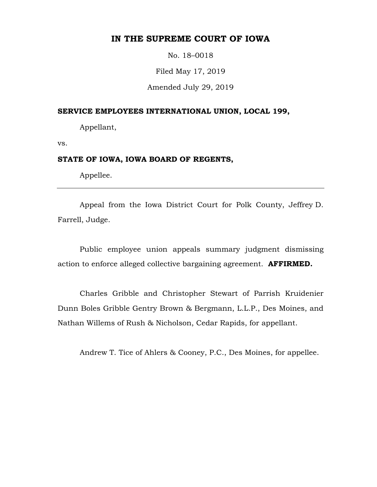# **IN THE SUPREME COURT OF IOWA**

No. 18–0018

Filed May 17, 2019

Amended July 29, 2019

## **SERVICE EMPLOYEES INTERNATIONAL UNION, LOCAL 199,**

Appellant,

vs.

#### **STATE OF IOWA, IOWA BOARD OF REGENTS,**

Appellee.

Appeal from the Iowa District Court for Polk County, Jeffrey D. Farrell, Judge.

Public employee union appeals summary judgment dismissing action to enforce alleged collective bargaining agreement. **AFFIRMED.** 

Charles Gribble and Christopher Stewart of Parrish Kruidenier Dunn Boles Gribble Gentry Brown & Bergmann, L.L.P., Des Moines, and Nathan Willems of Rush & Nicholson, Cedar Rapids, for appellant.

Andrew T. Tice of Ahlers & Cooney, P.C., Des Moines, for appellee.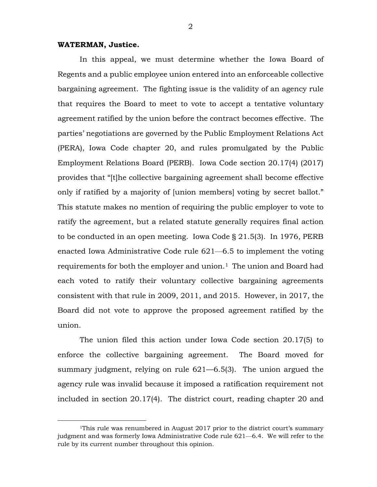## **WATERMAN, Justice.**

In this appeal, we must determine whether the Iowa Board of Regents and a public employee union entered into an enforceable collective bargaining agreement. The fighting issue is the validity of an agency rule that requires the Board to meet to vote to accept a tentative voluntary agreement ratified by the union before the contract becomes effective. The parties' negotiations are governed by the Public Employment Relations Act (PERA), Iowa Code chapter 20, and rules promulgated by the Public Employment Relations Board (PERB). Iowa Code section 20.17(4) (2017) provides that "[t]he collective bargaining agreement shall become effective only if ratified by a majority of [union members] voting by secret ballot." This statute makes no mention of requiring the public employer to vote to ratify the agreement, but a related statute generally requires final action to be conducted in an open meeting. Iowa Code § 21.5(3). In 1976, PERB enacted Iowa Administrative Code rule 621—6.5 to implement the voting requirements for both the employer and union.<sup>[1](#page-1-0)</sup> The union and Board had each voted to ratify their voluntary collective bargaining agreements consistent with that rule in 2009, 2011, and 2015. However, in 2017, the Board did not vote to approve the proposed agreement ratified by the union.

The union filed this action under Iowa Code section 20.17(5) to enforce the collective bargaining agreement. The Board moved for summary judgment, relying on rule 621—6.5(3). The union argued the agency rule was invalid because it imposed a ratification requirement not included in section 20.17(4). The district court, reading chapter 20 and

<span id="page-1-0"></span> <sup>1</sup>This rule was renumbered in August 2017 prior to the district court's summary judgment and was formerly Iowa Administrative Code rule 621—6.4. We will refer to the rule by its current number throughout this opinion.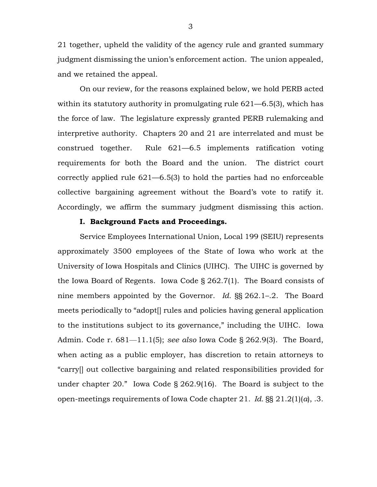21 together, upheld the validity of the agency rule and granted summary judgment dismissing the union's enforcement action. The union appealed, and we retained the appeal.

On our review, for the reasons explained below, we hold PERB acted within its statutory authority in promulgating rule 621–6.5(3), which has the force of law. The legislature expressly granted PERB rulemaking and interpretive authority. Chapters 20 and 21 are interrelated and must be construed together. Rule 621—6.5 implements ratification voting requirements for both the Board and the union. The district court correctly applied rule 621—6.5(3) to hold the parties had no enforceable collective bargaining agreement without the Board's vote to ratify it. Accordingly, we affirm the summary judgment dismissing this action.

## **I. Background Facts and Proceedings.**

Service Employees International Union, Local 199 (SEIU) represents approximately 3500 employees of the State of Iowa who work at the University of Iowa Hospitals and Clinics (UIHC). The UIHC is governed by the Iowa Board of Regents. Iowa Code § 262.7(1). The Board consists of nine members appointed by the Governor. *Id.* §§ 262.1–.2. The Board meets periodically to "adopt[] rules and policies having general application to the institutions subject to its governance," including the UIHC. Iowa Admin. Code r. 681—11.1(5); *see also* Iowa Code § 262.9(3). The Board, when acting as a public employer, has discretion to retain attorneys to "carry[] out collective bargaining and related responsibilities provided for under chapter 20." Iowa Code § 262.9(16). The Board is subject to the open-meetings requirements of Iowa Code chapter 21*. Id.* §§ 21.2(1)(*a*), .3.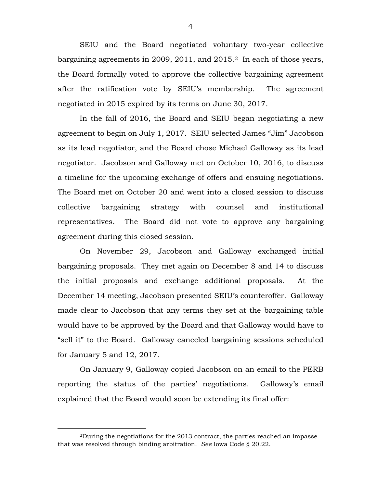SEIU and the Board negotiated voluntary two-year collective bargaining agreements in [2](#page-3-0)009, 2011, and 2015.<sup>2</sup> In each of those years, the Board formally voted to approve the collective bargaining agreement after the ratification vote by SEIU's membership. The agreement negotiated in 2015 expired by its terms on June 30, 2017.

In the fall of 2016, the Board and SEIU began negotiating a new agreement to begin on July 1, 2017. SEIU selected James "Jim" Jacobson as its lead negotiator, and the Board chose Michael Galloway as its lead negotiator. Jacobson and Galloway met on October 10, 2016, to discuss a timeline for the upcoming exchange of offers and ensuing negotiations. The Board met on October 20 and went into a closed session to discuss collective bargaining strategy with counsel and institutional representatives. The Board did not vote to approve any bargaining agreement during this closed session.

On November 29, Jacobson and Galloway exchanged initial bargaining proposals. They met again on December 8 and 14 to discuss the initial proposals and exchange additional proposals. At the December 14 meeting, Jacobson presented SEIU's counteroffer. Galloway made clear to Jacobson that any terms they set at the bargaining table would have to be approved by the Board and that Galloway would have to "sell it" to the Board. Galloway canceled bargaining sessions scheduled for January 5 and 12, 2017.

On January 9, Galloway copied Jacobson on an email to the PERB reporting the status of the parties' negotiations. Galloway's email explained that the Board would soon be extending its final offer:

4

<span id="page-3-0"></span> <sup>2</sup>During the negotiations for the 2013 contract, the parties reached an impasse that was resolved through binding arbitration. *See* Iowa Code § 20.22.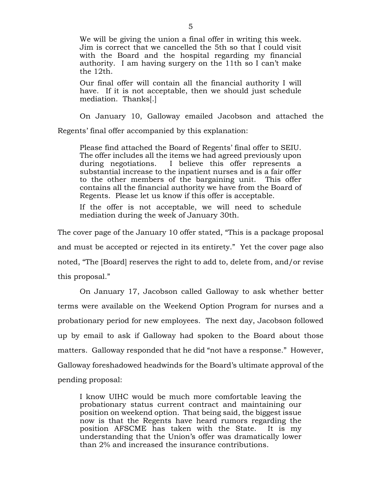We will be giving the union a final offer in writing this week. Jim is correct that we cancelled the 5th so that I could visit with the Board and the hospital regarding my financial authority. I am having surgery on the 11th so I can't make the 12th.

Our final offer will contain all the financial authority I will have. If it is not acceptable, then we should just schedule mediation. Thanks[.]

On January 10, Galloway emailed Jacobson and attached the Regents' final offer accompanied by this explanation:

Please find attached the Board of Regents' final offer to SEIU. The offer includes all the items we had agreed previously upon<br>during negotiations. I believe this offer represents a I believe this offer represents a substantial increase to the inpatient nurses and is a fair offer to the other members of the bargaining unit. This offer contains all the financial authority we have from the Board of Regents. Please let us know if this offer is acceptable.

If the offer is not acceptable, we will need to schedule mediation during the week of January 30th.

The cover page of the January 10 offer stated, "This is a package proposal and must be accepted or rejected in its entirety." Yet the cover page also noted, "The [Board] reserves the right to add to, delete from, and/or revise this proposal."

On January 17, Jacobson called Galloway to ask whether better terms were available on the Weekend Option Program for nurses and a probationary period for new employees. The next day, Jacobson followed up by email to ask if Galloway had spoken to the Board about those matters. Galloway responded that he did "not have a response." However, Galloway foreshadowed headwinds for the Board's ultimate approval of the pending proposal:

I know UIHC would be much more comfortable leaving the probationary status current contract and maintaining our position on weekend option. That being said, the biggest issue now is that the Regents have heard rumors regarding the position AFSCME has taken with the State. It is my understanding that the Union's offer was dramatically lower than 2% and increased the insurance contributions.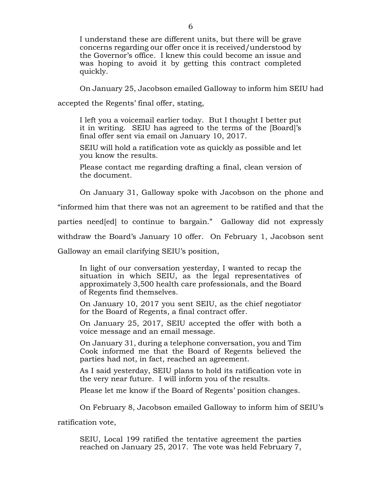I understand these are different units, but there will be grave concerns regarding our offer once it is received/understood by the Governor's office. I knew this could become an issue and was hoping to avoid it by getting this contract completed quickly.

On January 25, Jacobson emailed Galloway to inform him SEIU had

accepted the Regents' final offer, stating,

I left you a voicemail earlier today. But I thought I better put it in writing. SEIU has agreed to the terms of the [Board]'s final offer sent via email on January 10, 2017.

SEIU will hold a ratification vote as quickly as possible and let you know the results.

Please contact me regarding drafting a final, clean version of the document.

On January 31, Galloway spoke with Jacobson on the phone and

"informed him that there was not an agreement to be ratified and that the

parties need[ed] to continue to bargain." Galloway did not expressly

withdraw the Board's January 10 offer. On February 1, Jacobson sent

Galloway an email clarifying SEIU's position,

In light of our conversation yesterday, I wanted to recap the situation in which SEIU, as the legal representatives of approximately 3,500 health care professionals, and the Board of Regents find themselves.

On January 10, 2017 you sent SEIU, as the chief negotiator for the Board of Regents, a final contract offer.

On January 25, 2017, SEIU accepted the offer with both a voice message and an email message.

On January 31, during a telephone conversation, you and Tim Cook informed me that the Board of Regents believed the parties had not, in fact, reached an agreement.

As I said yesterday, SEIU plans to hold its ratification vote in the very near future. I will inform you of the results.

Please let me know if the Board of Regents' position changes.

On February 8, Jacobson emailed Galloway to inform him of SEIU's

ratification vote,

SEIU, Local 199 ratified the tentative agreement the parties reached on January 25, 2017. The vote was held February 7,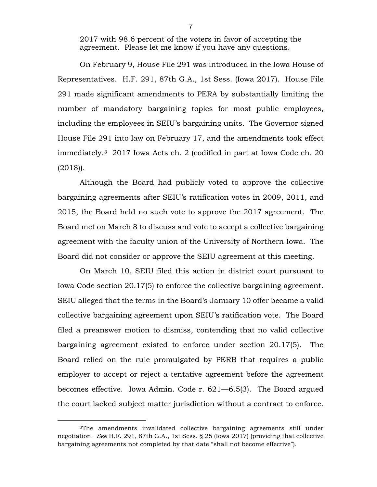2017 with 98.6 percent of the voters in favor of accepting the agreement. Please let me know if you have any questions.

On February 9, House File 291 was introduced in the Iowa House of Representatives. H.F. 291, 87th G.A., 1st Sess. (Iowa 2017). House File 291 made significant amendments to PERA by substantially limiting the number of mandatory bargaining topics for most public employees, including the employees in SEIU's bargaining units. The Governor signed House File 291 into law on February 17, and the amendments took effect immediately.[3](#page-6-0) 2017 Iowa Acts ch. 2 (codified in part at Iowa Code ch. 20 (2018)).

Although the Board had publicly voted to approve the collective bargaining agreements after SEIU's ratification votes in 2009, 2011, and 2015, the Board held no such vote to approve the 2017 agreement. The Board met on March 8 to discuss and vote to accept a collective bargaining agreement with the faculty union of the University of Northern Iowa. The Board did not consider or approve the SEIU agreement at this meeting.

On March 10, SEIU filed this action in district court pursuant to Iowa Code section 20.17(5) to enforce the collective bargaining agreement. SEIU alleged that the terms in the Board's January 10 offer became a valid collective bargaining agreement upon SEIU's ratification vote. The Board filed a preanswer motion to dismiss, contending that no valid collective bargaining agreement existed to enforce under section 20.17(5). The Board relied on the rule promulgated by PERB that requires a public employer to accept or reject a tentative agreement before the agreement becomes effective. Iowa Admin. Code r. 621—6.5(3). The Board argued the court lacked subject matter jurisdiction without a contract to enforce.

<span id="page-6-0"></span> <sup>3</sup>The amendments invalidated collective bargaining agreements still under negotiation. *See* H.F. 291, 87th G.A., 1st Sess. § 25 (Iowa 2017) (providing that collective bargaining agreements not completed by that date "shall not become effective").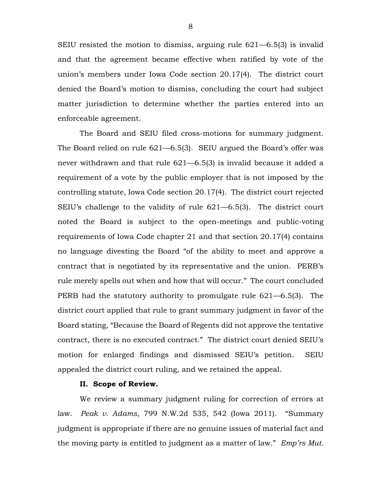SEIU resisted the motion to dismiss, arguing rule 621—6.5(3) is invalid and that the agreement became effective when ratified by vote of the union's members under Iowa Code section 20.17(4). The district court denied the Board's motion to dismiss, concluding the court had subject matter jurisdiction to determine whether the parties entered into an enforceable agreement.

The Board and SEIU filed cross-motions for summary judgment. The Board relied on rule 621—6.5(3). SEIU argued the Board's offer was never withdrawn and that rule 621—6.5(3) is invalid because it added a requirement of a vote by the public employer that is not imposed by the controlling statute, Iowa Code section 20.17(4). The district court rejected SEIU's challenge to the validity of rule 621—6.5(3). The district court noted the Board is subject to the open-meetings and public-voting requirements of Iowa Code chapter 21 and that section 20.17(4) contains no language divesting the Board "of the ability to meet and approve a contract that is negotiated by its representative and the union. PERB's rule merely spells out when and how that will occur." The court concluded PERB had the statutory authority to promulgate rule 621—6.5(3). The district court applied that rule to grant summary judgment in favor of the Board stating, "Because the Board of Regents did not approve the tentative contract, there is no executed contract." The district court denied SEIU's motion for enlarged findings and dismissed SEIU's petition. SEIU appealed the district court ruling, and we retained the appeal.

#### **II. Scope of Review.**

We review a summary judgment ruling for correction of errors at law. *Peak v. Adams*, 799 N.W.2d 535, 542 (Iowa 2011). "Summary judgment is appropriate if there are no genuine issues of material fact and the moving party is entitled to judgment as a matter of law." *Emp'rs Mut.*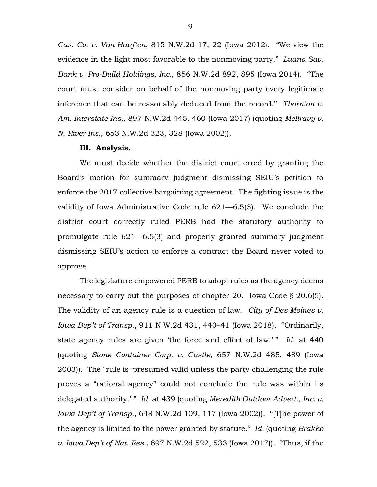*Cas. Co. v. Van Haaften*, 815 N.W.2d 17, 22 (Iowa 2012). "We view the evidence in the light most favorable to the nonmoving party." *Luana Sav. Bank v. Pro-Build Holdings, Inc.*, 856 N.W.2d 892, 895 (Iowa 2014). "The court must consider on behalf of the nonmoving party every legitimate inference that can be reasonably deduced from the record." *Thornton v. Am. Interstate Ins.*, 897 N.W.2d 445, 460 (Iowa 2017) (quoting *McIlravy v. N. River Ins.*, 653 N.W.2d 323, 328 (Iowa 2002)).

#### **III. Analysis.**

We must decide whether the district court erred by granting the Board's motion for summary judgment dismissing SEIU's petition to enforce the 2017 collective bargaining agreement. The fighting issue is the validity of Iowa Administrative Code rule 621—6.5(3). We conclude the district court correctly ruled PERB had the statutory authority to promulgate rule 621—6.5(3) and properly granted summary judgment dismissing SEIU's action to enforce a contract the Board never voted to approve.

The legislature empowered PERB to adopt rules as the agency deems necessary to carry out the purposes of chapter 20. Iowa Code § 20.6(5). The validity of an agency rule is a question of law. *City of Des Moines v. Iowa Dep't of Transp.*, 911 N.W.2d 431, 440–41 (Iowa 2018). "Ordinarily, state agency rules are given 'the force and effect of law.'" Id. at 440 (quoting *Stone Container Corp. v. Castle*, 657 N.W.2d 485, 489 (Iowa 2003)). The "rule is 'presumed valid unless the party challenging the rule proves a "rational agency" could not conclude the rule was within its delegated authority.'" *Id.* at 439 (quoting *Meredith Outdoor Advert., Inc. v. Iowa Dep't of Transp.*, 648 N.W.2d 109, 117 (Iowa 2002)). "[T]he power of the agency is limited to the power granted by statute." *Id.* (quoting *Brakke v. Iowa Dep't of Nat. Res.*, 897 N.W.2d 522, 533 (Iowa 2017)). "Thus, if the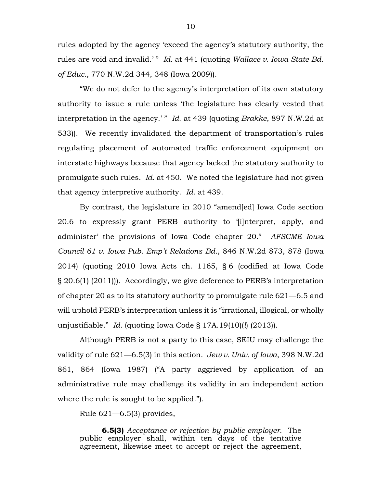rules adopted by the agency 'exceed the agency's statutory authority, the rules are void and invalid.' " *Id.* at 441 (quoting *Wallace v. Iowa State Bd. of Educ.*, 770 N.W.2d 344, 348 (Iowa 2009)).

"We do not defer to the agency's interpretation of its own statutory authority to issue a rule unless 'the legislature has clearly vested that interpretation in the agency.' " *Id.* at 439 (quoting *Brakke*, 897 N.W.2d at 533)). We recently invalidated the department of transportation's rules regulating placement of automated traffic enforcement equipment on interstate highways because that agency lacked the statutory authority to promulgate such rules. *Id.* at 450. We noted the legislature had not given that agency interpretive authority. *Id.* at 439.

By contrast, the legislature in 2010 "amend[ed] Iowa Code section 20.6 to expressly grant PERB authority to '[i]nterpret, apply, and administer' the provisions of Iowa Code chapter 20." *AFSCME Iowa Council 61 v. Iowa Pub. Emp't Relations Bd.*, 846 N.W.2d 873, 878 (Iowa 2014) (quoting 2010 Iowa Acts ch. 1165, § 6 (codified at Iowa Code § 20.6(1) (2011))). Accordingly, we give deference to PERB's interpretation of chapter 20 as to its statutory authority to promulgate rule 621—6.5 and will uphold PERB's interpretation unless it is "irrational, illogical, or wholly unjustifiable." *Id.* (quoting Iowa Code § 17A.19(10)(*l*) (2013)).

Although PERB is not a party to this case, SEIU may challenge the validity of rule 621—6.5(3) in this action. *Jew v. Univ. of Iowa*, 398 N.W.2d 861, 864 (Iowa 1987) ("A party aggrieved by application of an administrative rule may challenge its validity in an independent action where the rule is sought to be applied.").

Rule 621—6.5(3) provides,

**6.5(3)** *Acceptance or rejection by public employer.* The public employer shall, within ten days of the tentative agreement, likewise meet to accept or reject the agreement,

10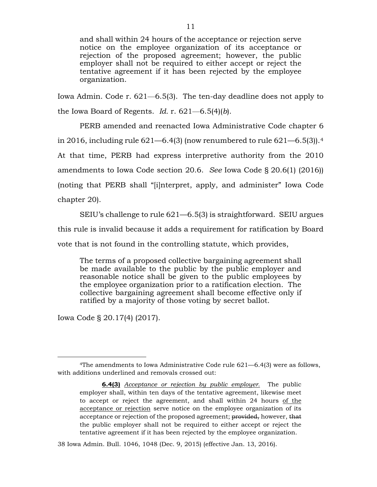and shall within 24 hours of the acceptance or rejection serve notice on the employee organization of its acceptance or rejection of the proposed agreement; however, the public employer shall not be required to either accept or reject the tentative agreement if it has been rejected by the employee organization.

Iowa Admin. Code r. 621—6.5(3). The ten-day deadline does not apply to the Iowa Board of Regents. *Id.* r. 621—6.5(4)(*b*).

PERB amended and reenacted Iowa Administrative Code chapter 6 in 2016, including rule  $621-6.4(3)$  (now renumbered to rule  $621-6.5(3)$ ).<sup>4</sup> At that time, PERB had express interpretive authority from the 2010 amendments to Iowa Code section 20.6. *See* Iowa Code § 20.6(1) (2016)) (noting that PERB shall "[i]nterpret, apply, and administer" Iowa Code chapter 20).

SEIU's challenge to rule 621—6.5(3) is straightforward. SEIU argues

this rule is invalid because it adds a requirement for ratification by Board

vote that is not found in the controlling statute, which provides,

The terms of a proposed collective bargaining agreement shall be made available to the public by the public employer and reasonable notice shall be given to the public employees by the employee organization prior to a ratification election. The collective bargaining agreement shall become effective only if ratified by a majority of those voting by secret ballot.

Iowa Code § 20.17(4) (2017).

38 Iowa Admin. Bull. 1046, 1048 (Dec. 9, 2015) (effective Jan. 13, 2016).

<span id="page-10-0"></span> <sup>4</sup>The amendments to Iowa Administrative Code rule 621—6.4(3) were as follows, with additions underlined and removals crossed out:

**<sup>6.4(3)</sup>** *Acceptance or rejection by public employer.* The public employer shall, within ten days of the tentative agreement, likewise meet to accept or reject the agreement, and shall within 24 hours of the acceptance or rejection serve notice on the employee organization of its acceptance or rejection of the proposed agreement; provided, however, that the public employer shall not be required to either accept or reject the tentative agreement if it has been rejected by the employee organization.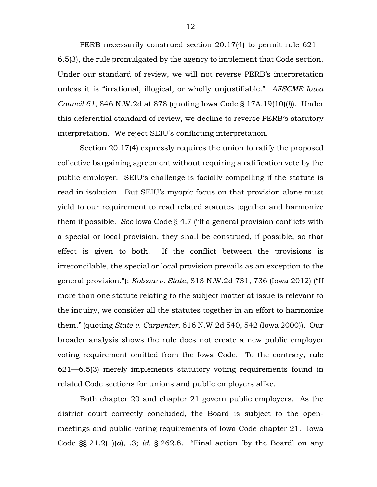PERB necessarily construed section 20.17(4) to permit rule 621— 6.5(3), the rule promulgated by the agency to implement that Code section. Under our standard of review, we will not reverse PERB's interpretation unless it is "irrational, illogical, or wholly unjustifiable." *AFSCME Iowa Council 61*, 846 N.W.2d at 878 (quoting Iowa Code § 17A.19(10)(*l*)). Under this deferential standard of review, we decline to reverse PERB's statutory interpretation. We reject SEIU's conflicting interpretation.

Section 20.17(4) expressly requires the union to ratify the proposed collective bargaining agreement without requiring a ratification vote by the public employer. SEIU's challenge is facially compelling if the statute is read in isolation. But SEIU's myopic focus on that provision alone must yield to our requirement to read related statutes together and harmonize them if possible. *See* Iowa Code § 4.7 ("If a general provision conflicts with a special or local provision, they shall be construed, if possible, so that effect is given to both. If the conflict between the provisions is irreconcilable, the special or local provision prevails as an exception to the general provision."); *Kolzow v. State*, 813 N.W.2d 731, 736 (Iowa 2012) ("If more than one statute relating to the subject matter at issue is relevant to the inquiry, we consider all the statutes together in an effort to harmonize them." (quoting *State v. Carpenter*, 616 N.W.2d 540, 542 (Iowa 2000)). Our broader analysis shows the rule does not create a new public employer voting requirement omitted from the Iowa Code. To the contrary, rule 621—6.5(3) merely implements statutory voting requirements found in related Code sections for unions and public employers alike.

Both chapter 20 and chapter 21 govern public employers. As the district court correctly concluded, the Board is subject to the openmeetings and public-voting requirements of Iowa Code chapter 21. Iowa Code §§ 21.2(1)(*a*), .3; *id.* § 262.8. "Final action [by the Board] on any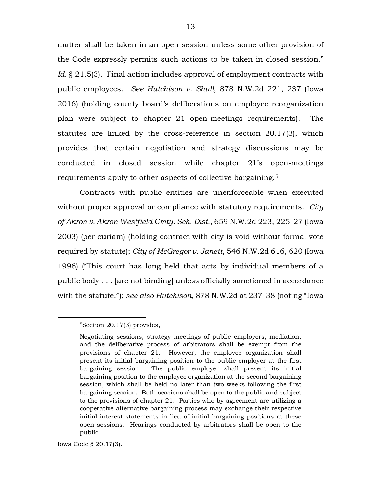matter shall be taken in an open session unless some other provision of the Code expressly permits such actions to be taken in closed session." *Id.* § 21.5(3). Final action includes approval of employment contracts with public employees. *See Hutchison v. Shull*, 878 N.W.2d 221, 237 (Iowa 2016) (holding county board's deliberations on employee reorganization plan were subject to chapter 21 open-meetings requirements). The statutes are linked by the cross-reference in section 20.17(3), which provides that certain negotiation and strategy discussions may be conducted in closed session while chapter 21's open-meetings requirements apply to other aspects of collective bargaining.[5](#page-12-0)

Contracts with public entities are unenforceable when executed without proper approval or compliance with statutory requirements. *City of Akron v. Akron Westfield Cmty. Sch. Dist.*, 659 N.W.2d 223, 225–27 (Iowa 2003) (per curiam) (holding contract with city is void without formal vote required by statute); *City of McGregor v. Janett*, 546 N.W.2d 616, 620 (Iowa 1996) ("This court has long held that acts by individual members of a public body . . . [are not binding] unless officially sanctioned in accordance with the statute."); *see also Hutchison*, 878 N.W.2d at 237–38 (noting "Iowa

<span id="page-12-0"></span> <sup>5</sup>Section 20.17(3) provides,

Negotiating sessions, strategy meetings of public employers, mediation, and the deliberative process of arbitrators shall be exempt from the provisions of chapter 21. However, the employee organization shall present its initial bargaining position to the public employer at the first bargaining session. The public employer shall present its initial bargaining position to the employee organization at the second bargaining session, which shall be held no later than two weeks following the first bargaining session. Both sessions shall be open to the public and subject to the provisions of chapter 21. Parties who by agreement are utilizing a cooperative alternative bargaining process may exchange their respective initial interest statements in lieu of initial bargaining positions at these open sessions. Hearings conducted by arbitrators shall be open to the public.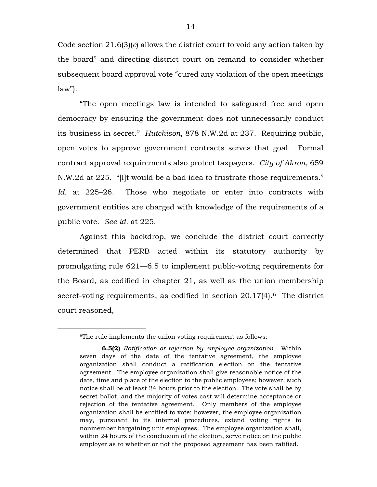Code section 21.6(3)(*c*) allows the district court to void any action taken by the board" and directing district court on remand to consider whether subsequent board approval vote "cured any violation of the open meetings  $law$ ").

"The open meetings law is intended to safeguard free and open democracy by ensuring the government does not unnecessarily conduct its business in secret." *Hutchison*, 878 N.W.2d at 237. Requiring public, open votes to approve government contracts serves that goal. Formal contract approval requirements also protect taxpayers. *City of Akron*, 659 N.W.2d at 225. "[I]t would be a bad idea to frustrate those requirements." *Id.* at 225–26. Those who negotiate or enter into contracts with government entities are charged with knowledge of the requirements of a public vote. *See id.* at 225.

Against this backdrop, we conclude the district court correctly determined that PERB acted within its statutory authority by promulgating rule 621—6.5 to implement public-voting requirements for the Board, as codified in chapter 21, as well as the union membership secret-voting requirements, as codified in section  $20.17(4)$ .<sup>[6](#page-13-0)</sup> The district court reasoned,

<span id="page-13-0"></span> <sup>6</sup>The rule implements the union voting requirement as follows:

**<sup>6.5(2)</sup>** *Ratification or rejection by employee organization.* Within seven days of the date of the tentative agreement, the employee organization shall conduct a ratification election on the tentative agreement. The employee organization shall give reasonable notice of the date, time and place of the election to the public employees; however, such notice shall be at least 24 hours prior to the election. The vote shall be by secret ballot, and the majority of votes cast will determine acceptance or rejection of the tentative agreement. Only members of the employee organization shall be entitled to vote; however, the employee organization may, pursuant to its internal procedures, extend voting rights to nonmember bargaining unit employees. The employee organization shall, within 24 hours of the conclusion of the election, serve notice on the public employer as to whether or not the proposed agreement has been ratified.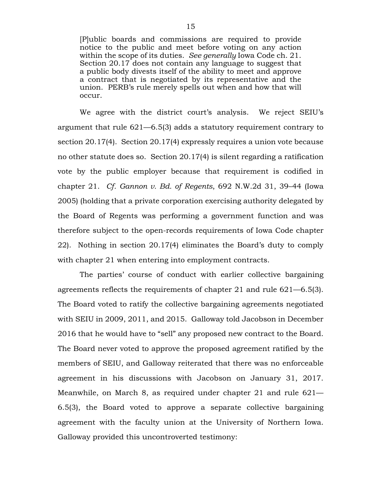[P]ublic boards and commissions are required to provide notice to the public and meet before voting on any action within the scope of its duties. *See generally* Iowa Code ch. 21. Section 20.17 does not contain any language to suggest that a public body divests itself of the ability to meet and approve a contract that is negotiated by its representative and the union. PERB's rule merely spells out when and how that will occur.

We agree with the district court's analysis. We reject SEIU's argument that rule 621—6.5(3) adds a statutory requirement contrary to section 20.17(4). Section 20.17(4) expressly requires a union vote because no other statute does so. Section 20.17(4) is silent regarding a ratification vote by the public employer because that requirement is codified in chapter 21. *Cf. Gannon v. Bd. of Regents*, 692 N.W.2d 31, 39–44 (Iowa 2005) (holding that a private corporation exercising authority delegated by the Board of Regents was performing a government function and was therefore subject to the open-records requirements of Iowa Code chapter 22). Nothing in section 20.17(4) eliminates the Board's duty to comply with chapter 21 when entering into employment contracts.

The parties' course of conduct with earlier collective bargaining agreements reflects the requirements of chapter 21 and rule 621—6.5(3). The Board voted to ratify the collective bargaining agreements negotiated with SEIU in 2009, 2011, and 2015. Galloway told Jacobson in December 2016 that he would have to "sell" any proposed new contract to the Board. The Board never voted to approve the proposed agreement ratified by the members of SEIU, and Galloway reiterated that there was no enforceable agreement in his discussions with Jacobson on January 31, 2017. Meanwhile, on March 8, as required under chapter 21 and rule 621— 6.5(3), the Board voted to approve a separate collective bargaining agreement with the faculty union at the University of Northern Iowa. Galloway provided this uncontroverted testimony: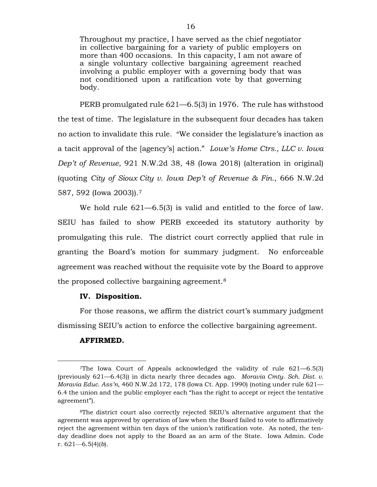Throughout my practice, I have served as the chief negotiator in collective bargaining for a variety of public employers on more than 400 occasions. In this capacity, I am not aware of a single voluntary collective bargaining agreement reached involving a public employer with a governing body that was not conditioned upon a ratification vote by that governing body.

PERB promulgated rule 621—6.5(3) in 1976. The rule has withstood the test of time. The legislature in the subsequent four decades has taken no action to invalidate this rule. "We consider the legislature's inaction as a tacit approval of the [agency's] action." *Lowe's Home Ctrs., LLC v. Iowa Dep't of Revenue*, 921 N.W.2d 38, 48 (Iowa 2018) (alteration in original) (quoting *City of Sioux City v. Iowa Dep't of Revenue & Fin.*, 666 N.W.2d 587, 592 (Iowa 2003)).[7](#page-15-0)

We hold rule 621—6.5(3) is valid and entitled to the force of law. SEIU has failed to show PERB exceeded its statutory authority by promulgating this rule. The district court correctly applied that rule in granting the Board's motion for summary judgment. No enforceable agreement was reached without the requisite vote by the Board to approve the proposed collective bargaining agreement.[8](#page-15-1)

#### **IV. Disposition.**

For those reasons, we affirm the district court's summary judgment dismissing SEIU's action to enforce the collective bargaining agreement.

#### **AFFIRMED.**

<span id="page-15-0"></span> <sup>7</sup>The Iowa Court of Appeals acknowledged the validity of rule 621—6.5(3) (previously 621—6.4(3)) in dicta nearly three decades ago. *Moravia Cmty. Sch. Dist. v. Moravia Educ. Ass'n*, 460 N.W.2d 172, 178 (Iowa Ct. App. 1990) (noting under rule 621— 6.4 the union and the public employer each "has the right to accept or reject the tentative agreement").

<span id="page-15-1"></span><sup>8</sup>The district court also correctly rejected SEIU's alternative argument that the agreement was approved by operation of law when the Board failed to vote to affirmatively reject the agreement within ten days of the union's ratification vote. As noted, the tenday deadline does not apply to the Board as an arm of the State. Iowa Admin. Code r. 621—6.5(4)(*b*).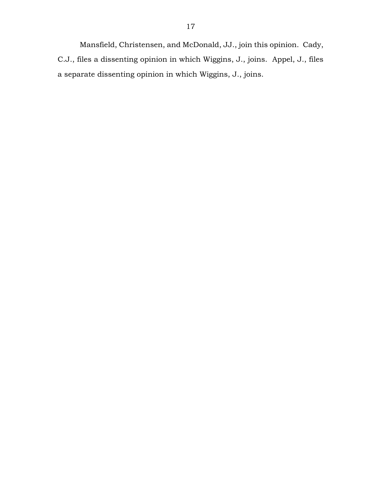Mansfield, Christensen, and McDonald, JJ., join this opinion. Cady, C.J., files a dissenting opinion in which Wiggins, J., joins. Appel, J., files a separate dissenting opinion in which Wiggins, J., joins.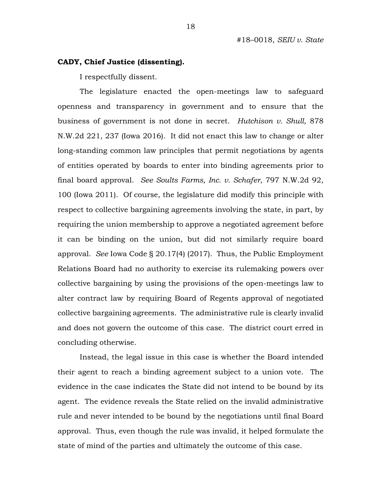#### **CADY, Chief Justice (dissenting).**

I respectfully dissent.

The legislature enacted the open-meetings law to safeguard openness and transparency in government and to ensure that the business of government is not done in secret. *Hutchison v. Shull*, 878 N.W.2d 221, 237 (Iowa 2016). It did not enact this law to change or alter long-standing common law principles that permit negotiations by agents of entities operated by boards to enter into binding agreements prior to final board approval. *See Soults Farms, Inc. v. Schafer*, 797 N.W.2d 92, 100 (Iowa 2011). Of course, the legislature did modify this principle with respect to collective bargaining agreements involving the state, in part, by requiring the union membership to approve a negotiated agreement before it can be binding on the union, but did not similarly require board approval. *See* Iowa Code § 20.17(4) (2017). Thus, the Public Employment Relations Board had no authority to exercise its rulemaking powers over collective bargaining by using the provisions of the open-meetings law to alter contract law by requiring Board of Regents approval of negotiated collective bargaining agreements. The administrative rule is clearly invalid and does not govern the outcome of this case. The district court erred in concluding otherwise.

Instead, the legal issue in this case is whether the Board intended their agent to reach a binding agreement subject to a union vote. The evidence in the case indicates the State did not intend to be bound by its agent. The evidence reveals the State relied on the invalid administrative rule and never intended to be bound by the negotiations until final Board approval. Thus, even though the rule was invalid, it helped formulate the state of mind of the parties and ultimately the outcome of this case.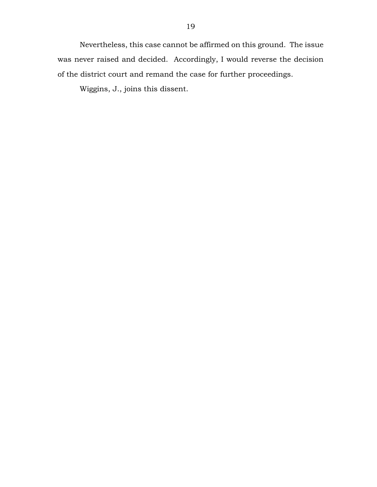Nevertheless, this case cannot be affirmed on this ground. The issue was never raised and decided. Accordingly, I would reverse the decision of the district court and remand the case for further proceedings.

Wiggins, J., joins this dissent.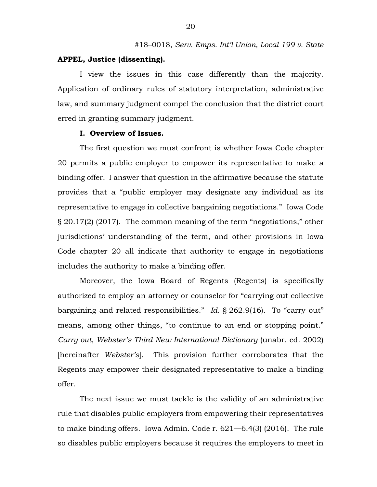#### **APPEL, Justice (dissenting).**

I view the issues in this case differently than the majority. Application of ordinary rules of statutory interpretation, administrative law, and summary judgment compel the conclusion that the district court erred in granting summary judgment.

#### **I. Overview of Issues.**

The first question we must confront is whether Iowa Code chapter 20 permits a public employer to empower its representative to make a binding offer. I answer that question in the affirmative because the statute provides that a "public employer may designate any individual as its representative to engage in collective bargaining negotiations." Iowa Code § 20.17(2) (2017). The common meaning of the term "negotiations," other jurisdictions' understanding of the term, and other provisions in Iowa Code chapter 20 all indicate that authority to engage in negotiations includes the authority to make a binding offer.

Moreover, the Iowa Board of Regents (Regents) is specifically authorized to employ an attorney or counselor for "carrying out collective bargaining and related responsibilities." *Id.* § 262.9(16). To "carry out" means, among other things, "to continue to an end or stopping point." *Carry out*, *Webster's Third New International Dictionary* (unabr. ed. 2002) [hereinafter *Webster's*]. This provision further corroborates that the Regents may empower their designated representative to make a binding offer.

The next issue we must tackle is the validity of an administrative rule that disables public employers from empowering their representatives to make binding offers. Iowa Admin. Code r. 621—6.4(3) (2016). The rule so disables public employers because it requires the employers to meet in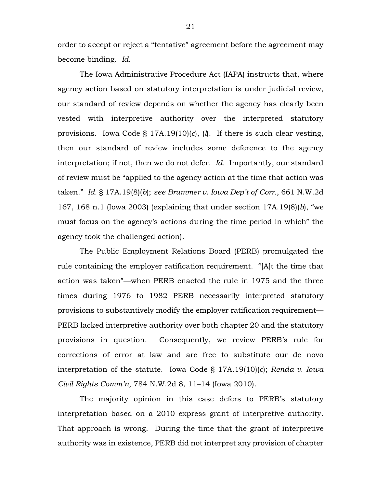order to accept or reject a "tentative" agreement before the agreement may become binding. *Id.*

The Iowa Administrative Procedure Act (IAPA) instructs that, where agency action based on statutory interpretation is under judicial review, our standard of review depends on whether the agency has clearly been vested with interpretive authority over the interpreted statutory provisions. Iowa Code § 17A.19(10)(*c*), (*l*). If there is such clear vesting, then our standard of review includes some deference to the agency interpretation; if not, then we do not defer. *Id.* Importantly, our standard of review must be "applied to the agency action at the time that action was taken." *Id.* § 17A.19(8)(*b*); *see Brummer v. Iowa Dep't of Corr.*, 661 N.W.2d 167, 168 n.1 (Iowa 2003) (explaining that under section 17A.19(8)(*b*), "we must focus on the agency's actions during the time period in which" the agency took the challenged action).

The Public Employment Relations Board (PERB) promulgated the rule containing the employer ratification requirement. "[A]t the time that action was taken"—when PERB enacted the rule in 1975 and the three times during 1976 to 1982 PERB necessarily interpreted statutory provisions to substantively modify the employer ratification requirement— PERB lacked interpretive authority over both chapter 20 and the statutory provisions in question. Consequently, we review PERB's rule for corrections of error at law and are free to substitute our de novo interpretation of the statute. Iowa Code § 17A.19(10)(*c*); *Renda v. Iowa Civil Rights Comm'n*, 784 N.W.2d 8, 11–14 (Iowa 2010).

The majority opinion in this case defers to PERB's statutory interpretation based on a 2010 express grant of interpretive authority. That approach is wrong. During the time that the grant of interpretive authority was in existence, PERB did not interpret any provision of chapter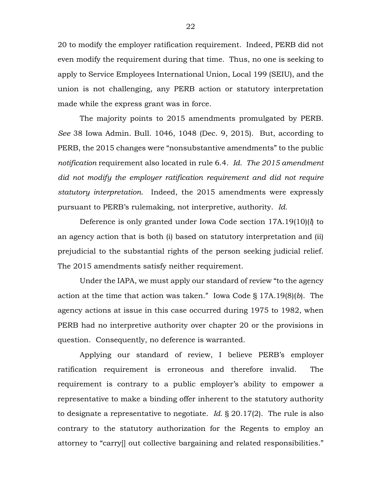20 to modify the employer ratification requirement. Indeed, PERB did not even modify the requirement during that time. Thus, no one is seeking to apply to Service Employees International Union, Local 199 (SEIU), and the union is not challenging, any PERB action or statutory interpretation made while the express grant was in force.

The majority points to 2015 amendments promulgated by PERB. *See* 38 Iowa Admin. Bull. 1046, 1048 (Dec. 9, 2015). But, according to PERB, the 2015 changes were "nonsubstantive amendments" to the public *notification* requirement also located in rule 6.4. *Id. The 2015 amendment did not modify the employer ratification requirement and did not require statutory interpretation*. Indeed, the 2015 amendments were expressly pursuant to PERB's rulemaking, not interpretive, authority. *Id.*

Deference is only granted under Iowa Code section 17A.19(10)(*l*) to an agency action that is both (i) based on statutory interpretation and (ii) prejudicial to the substantial rights of the person seeking judicial relief. The 2015 amendments satisfy neither requirement.

Under the IAPA, we must apply our standard of review "to the agency action at the time that action was taken." Iowa Code § 17A.19(8)(*b*). The agency actions at issue in this case occurred during 1975 to 1982, when PERB had no interpretive authority over chapter 20 or the provisions in question. Consequently, no deference is warranted.

Applying our standard of review, I believe PERB's employer ratification requirement is erroneous and therefore invalid. The requirement is contrary to a public employer's ability to empower a representative to make a binding offer inherent to the statutory authority to designate a representative to negotiate. *Id.* § 20.17(2). The rule is also contrary to the statutory authorization for the Regents to employ an attorney to "carry[] out collective bargaining and related responsibilities."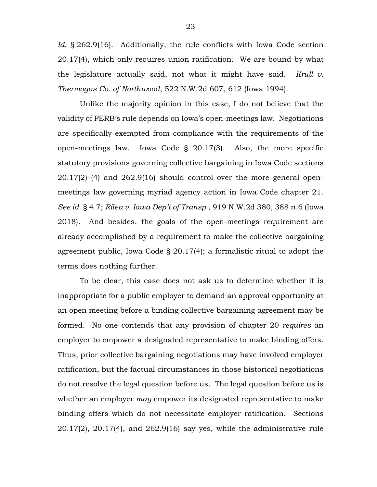Id. § 262.9(16). Additionally, the rule conflicts with Iowa Code section 20.17(4), which only requires union ratification. We are bound by what the legislature actually said, not what it might have said. *Krull v. Thermogas Co. of Northwood*, 522 N.W.2d 607, 612 (Iowa 1994).

Unlike the majority opinion in this case, I do not believe that the validity of PERB's rule depends on Iowa's open-meetings law. Negotiations are specifically exempted from compliance with the requirements of the open-meetings law. Iowa Code § 20.17(3). Also, the more specific statutory provisions governing collective bargaining in Iowa Code sections 20.17(2)–(4) and 262.9(16) should control over the more general openmeetings law governing myriad agency action in Iowa Code chapter 21. *See id.* § 4.7; *Rilea v. Iowa Dep't of Transp.*, 919 N.W.2d 380, 388 n.6 (Iowa 2018). And besides, the goals of the open-meetings requirement are already accomplished by a requirement to make the collective bargaining agreement public, Iowa Code § 20.17(4); a formalistic ritual to adopt the terms does nothing further.

To be clear, this case does not ask us to determine whether it is inappropriate for a public employer to demand an approval opportunity at an open meeting before a binding collective bargaining agreement may be formed. No one contends that any provision of chapter 20 *requires* an employer to empower a designated representative to make binding offers. Thus, prior collective bargaining negotiations may have involved employer ratification, but the factual circumstances in those historical negotiations do not resolve the legal question before us. The legal question before us is whether an employer *may* empower its designated representative to make binding offers which do not necessitate employer ratification. Sections 20.17(2), 20.17(4), and 262.9(16) say yes, while the administrative rule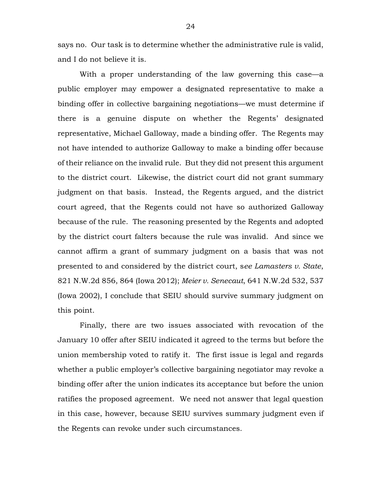says no. Our task is to determine whether the administrative rule is valid, and I do not believe it is.

With a proper understanding of the law governing this case—a public employer may empower a designated representative to make a binding offer in collective bargaining negotiations—we must determine if there is a genuine dispute on whether the Regents' designated representative, Michael Galloway, made a binding offer. The Regents may not have intended to authorize Galloway to make a binding offer because of their reliance on the invalid rule. But they did not present this argument to the district court. Likewise, the district court did not grant summary judgment on that basis. Instead, the Regents argued, and the district court agreed, that the Regents could not have so authorized Galloway because of the rule. The reasoning presented by the Regents and adopted by the district court falters because the rule was invalid. And since we cannot affirm a grant of summary judgment on a basis that was not presented to and considered by the district court, s*ee Lamasters v. State*, 821 N.W.2d 856, 864 (Iowa 2012); *Meier v. Senecaut*, 641 N.W.2d 532, 537 (Iowa 2002), I conclude that SEIU should survive summary judgment on this point.

Finally, there are two issues associated with revocation of the January 10 offer after SEIU indicated it agreed to the terms but before the union membership voted to ratify it. The first issue is legal and regards whether a public employer's collective bargaining negotiator may revoke a binding offer after the union indicates its acceptance but before the union ratifies the proposed agreement. We need not answer that legal question in this case, however, because SEIU survives summary judgment even if the Regents can revoke under such circumstances.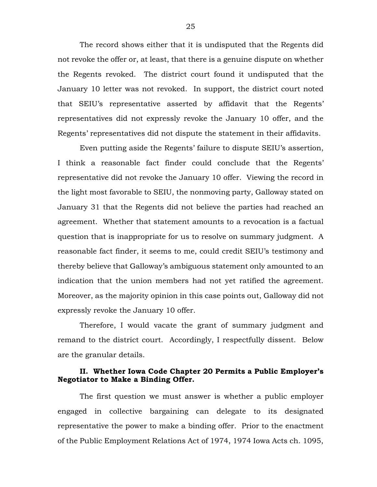The record shows either that it is undisputed that the Regents did not revoke the offer or, at least, that there is a genuine dispute on whether the Regents revoked. The district court found it undisputed that the January 10 letter was not revoked. In support, the district court noted that SEIU's representative asserted by affidavit that the Regents' representatives did not expressly revoke the January 10 offer, and the Regents' representatives did not dispute the statement in their affidavits.

Even putting aside the Regents' failure to dispute SEIU's assertion, I think a reasonable fact finder could conclude that the Regents' representative did not revoke the January 10 offer. Viewing the record in the light most favorable to SEIU, the nonmoving party, Galloway stated on January 31 that the Regents did not believe the parties had reached an agreement. Whether that statement amounts to a revocation is a factual question that is inappropriate for us to resolve on summary judgment. A reasonable fact finder, it seems to me, could credit SEIU's testimony and thereby believe that Galloway's ambiguous statement only amounted to an indication that the union members had not yet ratified the agreement. Moreover, as the majority opinion in this case points out, Galloway did not expressly revoke the January 10 offer.

Therefore, I would vacate the grant of summary judgment and remand to the district court. Accordingly, I respectfully dissent. Below are the granular details.

### **II. Whether Iowa Code Chapter 20 Permits a Public Employer's Negotiator to Make a Binding Offer.**

The first question we must answer is whether a public employer engaged in collective bargaining can delegate to its designated representative the power to make a binding offer. Prior to the enactment of the Public Employment Relations Act of 1974, 1974 Iowa Acts ch. 1095,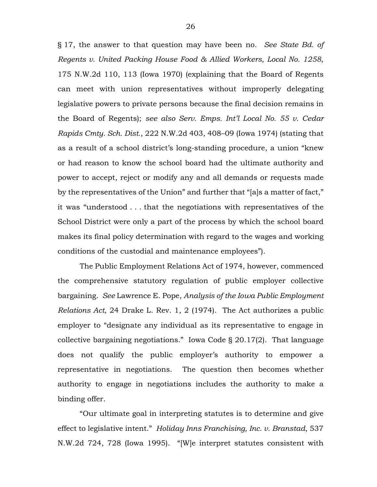§ 17, the answer to that question may have been no. *See State Bd. of Regents v. United Packing House Food & Allied Workers, Local No. 1258*, 175 N.W.2d 110, 113 (Iowa 1970) (explaining that the Board of Regents can meet with union representatives without improperly delegating legislative powers to private persons because the final decision remains in the Board of Regents); *see also Serv. Emps. Int'l Local No. 55 v. Cedar Rapids Cmty. Sch. Dist.*, 222 N.W.2d 403, 408–09 (Iowa 1974) (stating that as a result of a school district's long-standing procedure, a union "knew or had reason to know the school board had the ultimate authority and power to accept, reject or modify any and all demands or requests made by the representatives of the Union" and further that "[a]s a matter of fact," it was "understood . . . that the negotiations with representatives of the School District were only a part of the process by which the school board makes its final policy determination with regard to the wages and working conditions of the custodial and maintenance employees").

The Public Employment Relations Act of 1974, however, commenced the comprehensive statutory regulation of public employer collective bargaining. *See* Lawrence E. Pope, *Analysis of the Iowa Public Employment Relations Act*, 24 Drake L. Rev. 1, 2 (1974). The Act authorizes a public employer to "designate any individual as its representative to engage in collective bargaining negotiations." Iowa Code § 20.17(2). That language does not qualify the public employer's authority to empower a representative in negotiations. The question then becomes whether authority to engage in negotiations includes the authority to make a binding offer.

"Our ultimate goal in interpreting statutes is to determine and give effect to legislative intent." *Holiday Inns Franchising, Inc. v. Branstad*, 537 N.W.2d 724, 728 (Iowa 1995). "[W]e interpret statutes consistent with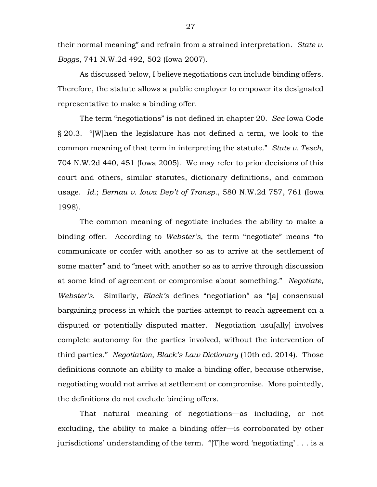their normal meaning" and refrain from a strained interpretation. *State v. Boggs*, 741 N.W.2d 492, 502 (Iowa 2007).

As discussed below, I believe negotiations can include binding offers. Therefore, the statute allows a public employer to empower its designated representative to make a binding offer.

The term "negotiations" is not defined in chapter 20. *See* Iowa Code § 20.3. "[W]hen the legislature has not defined a term, we look to the common meaning of that term in interpreting the statute." *State v. Tesch*, 704 N.W.2d 440, 451 (Iowa 2005). We may refer to prior decisions of this court and others, similar statutes, dictionary definitions, and common usage. *Id.*; *Bernau v. Iowa Dep't of Transp.*, 580 N.W.2d 757, 761 (Iowa 1998).

The common meaning of negotiate includes the ability to make a binding offer. According to *Webster's*, the term "negotiate" means "to communicate or confer with another so as to arrive at the settlement of some matter" and to "meet with another so as to arrive through discussion at some kind of agreement or compromise about something." *Negotiate*, *Webster's*. Similarly, *Black's* defines "negotiation" as "[a] consensual bargaining process in which the parties attempt to reach agreement on a disputed or potentially disputed matter. Negotiation usu[ally] involves complete autonomy for the parties involved, without the intervention of third parties." *Negotiation*, *Black's Law Dictionary* (10th ed. 2014). Those definitions connote an ability to make a binding offer, because otherwise, negotiating would not arrive at settlement or compromise. More pointedly, the definitions do not exclude binding offers.

That natural meaning of negotiations—as including, or not excluding, the ability to make a binding offer—is corroborated by other jurisdictions' understanding of the term. "[T]he word 'negotiating' . . . is a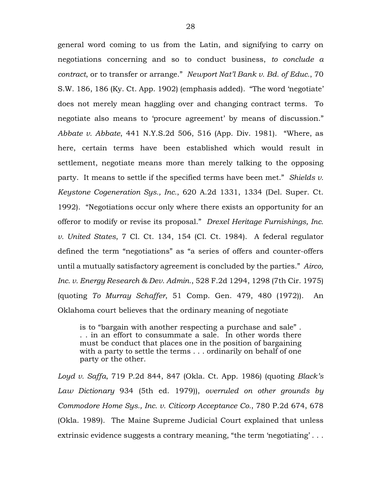general word coming to us from the Latin, and signifying to carry on negotiations concerning and so to conduct business, *to conclude a contract*, or to transfer or arrange." *Newport Nat'l Bank v. Bd. of Educ.*, 70 S.W. 186, 186 (Ky. Ct. App. 1902) (emphasis added). "The word 'negotiate' does not merely mean haggling over and changing contract terms. To negotiate also means to 'procure agreement' by means of discussion." *Abbate v. Abbate*, 441 N.Y.S.2d 506, 516 (App. Div. 1981). "Where, as here, certain terms have been established which would result in settlement, negotiate means more than merely talking to the opposing party. It means to settle if the specified terms have been met." *Shields v. Keystone Cogeneration Sys., Inc.*, 620 A.2d 1331, 1334 (Del. Super. Ct. 1992). "Negotiations occur only where there exists an opportunity for an offeror to modify or revise its proposal." *Drexel Heritage Furnishings, Inc. v. United States*, 7 Cl. Ct. 134, 154 (Cl. Ct. 1984). A federal regulator defined the term "negotiations" as "a series of offers and counter-offers until a mutually satisfactory agreement is concluded by the parties." *Airco, Inc. v. Energy Research & Dev. Admin.*, 528 F.2d 1294, 1298 (7th Cir. 1975) (quoting *To Murray Schaffer*, 51 Comp. Gen. 479, 480 (1972)). An Oklahoma court believes that the ordinary meaning of negotiate

is to "bargain with another respecting a purchase and sale" . . . in an effort to consummate a sale. In other words there must be conduct that places one in the position of bargaining with a party to settle the terms . . . ordinarily on behalf of one party or the other.

*Loyd v. Saffa*, 719 P.2d 844, 847 (Okla. Ct. App. 1986) (quoting *Black's Law Dictionary* 934 (5th ed. 1979)), *overruled on other grounds by Commodore Home Sys., Inc. v. Citicorp Acceptance Co.*, 780 P.2d 674, 678 (Okla. 1989). The Maine Supreme Judicial Court explained that unless extrinsic evidence suggests a contrary meaning, "the term 'negotiating' . . .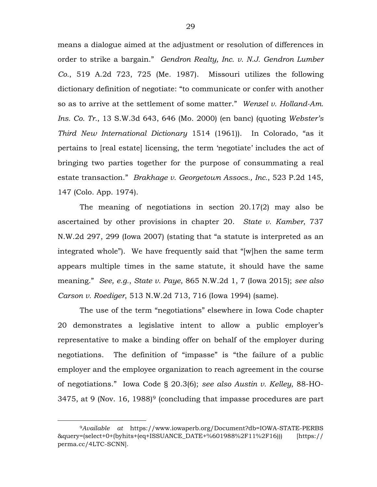means a dialogue aimed at the adjustment or resolution of differences in order to strike a bargain." *Gendron Realty, Inc. v. N.J. Gendron Lumber Co.*, 519 A.2d 723, 725 (Me. 1987). Missouri utilizes the following dictionary definition of negotiate: "to communicate or confer with another so as to arrive at the settlement of some matter." *Wenzel v. Holland-Am. Ins. Co. Tr.*, 13 S.W.3d 643, 646 (Mo. 2000) (en banc) (quoting *Webster's Third New International Dictionary* 1514 (1961)). In Colorado, "as it pertains to [real estate] licensing, the term 'negotiate' includes the act of bringing two parties together for the purpose of consummating a real estate transaction." *Brakhage v. Georgetown Assocs., Inc.*, 523 P.2d 145, 147 (Colo. App. 1974).

The meaning of negotiations in section 20.17(2) may also be ascertained by other provisions in chapter 20. *State v. Kamber*, 737 N.W.2d 297, 299 (Iowa 2007) (stating that "a statute is interpreted as an integrated whole"). We have frequently said that "[w]hen the same term appears multiple times in the same statute, it should have the same meaning." *See, e.g.*, *State v. Paye*, 865 N.W.2d 1, 7 (Iowa 2015); *see also Carson v. Roediger*, 513 N.W.2d 713, 716 (Iowa 1994) (same).

The use of the term "negotiations" elsewhere in Iowa Code chapter 20 demonstrates a legislative intent to allow a public employer's representative to make a binding offer on behalf of the employer during negotiations. The definition of "impasse" is "the failure of a public employer and the employee organization to reach agreement in the course of negotiations." Iowa Code § 20.3(6); *see also Austin v. Kelley*, 88-HO-3475, at [9](#page-28-0) (Nov. 16, 1988)<sup>9</sup> (concluding that impasse procedures are part

<span id="page-28-0"></span> <sup>9</sup>*Available at* https://www.iowaperb.org/Document?db=IOWA-STATE-PERBS &query=(select+0+(byhits+(eq+ISSUANCE\_DATE+%601988%2F11%2F16))) [https:// perma.cc/4LTC-SCNN].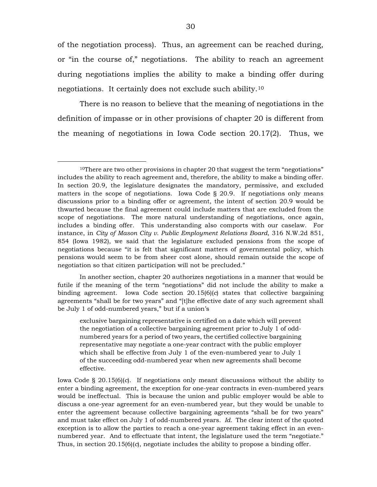of the negotiation process). Thus, an agreement can be reached during, or "in the course of," negotiations. The ability to reach an agreement during negotiations implies the ability to make a binding offer during negotiations. It certainly does not exclude such ability.[10](#page-29-0)

There is no reason to believe that the meaning of negotiations in the definition of impasse or in other provisions of chapter 20 is different from the meaning of negotiations in Iowa Code section 20.17(2). Thus, we

In another section, chapter 20 authorizes negotiations in a manner that would be futile if the meaning of the term "negotiations" did not include the ability to make a binding agreement. Iowa Code section 20.15(6)(*c*) states that collective bargaining agreements "shall be for two years" and "[t]he effective date of any such agreement shall be July 1 of odd-numbered years," but if a union's

exclusive bargaining representative is certified on a date which will prevent the negotiation of a collective bargaining agreement prior to July 1 of oddnumbered years for a period of two years, the certified collective bargaining representative may negotiate a one-year contract with the public employer which shall be effective from July 1 of the even-numbered year to July 1 of the succeeding odd-numbered year when new agreements shall become effective.

Iowa Code § 20.15(6)(*c*). If negotiations only meant discussions without the ability to enter a binding agreement, the exception for one-year contracts in even-numbered years would be ineffectual. This is because the union and public employer would be able to discuss a one-year agreement for an even-numbered year, but they would be unable to enter the agreement because collective bargaining agreements "shall be for two years" and must take effect on July 1 of odd-numbered years. *Id.* The clear intent of the quoted exception is to allow the parties to reach a one-year agreement taking effect in an evennumbered year. And to effectuate that intent, the legislature used the term "negotiate." Thus, in section 20.15(6)(*c*), negotiate includes the ability to propose a binding offer.

<span id="page-29-0"></span><sup>&</sup>lt;sup>10</sup>There are two other provisions in chapter 20 that suggest the term "negotiations" includes the ability to reach agreement and, therefore, the ability to make a binding offer. In section 20.9, the legislature designates the mandatory, permissive, and excluded matters in the scope of negotiations. Iowa Code § 20.9. If negotiations only means discussions prior to a binding offer or agreement, the intent of section 20.9 would be thwarted because the final agreement could include matters that are excluded from the scope of negotiations. The more natural understanding of negotiations, once again, includes a binding offer. This understanding also comports with our caselaw. For instance, in *City of Mason City v. Public Employment Relations Board*, 316 N.W.2d 851, 854 (Iowa 1982), we said that the legislature excluded pensions from the scope of negotiations because "it is felt that significant matters of governmental policy, which pensions would seem to be from sheer cost alone, should remain outside the scope of negotiation so that citizen participation will not be precluded."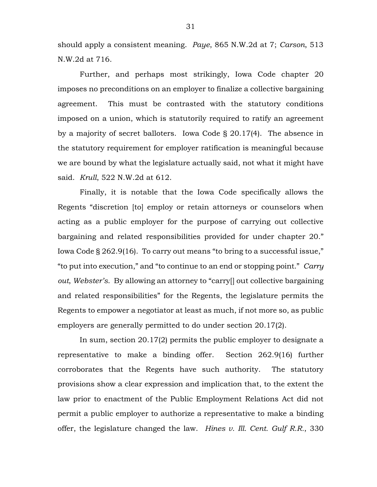should apply a consistent meaning. *Paye*, 865 N.W.2d at 7; *Carson*, 513 N.W.2d at 716.

Further, and perhaps most strikingly, Iowa Code chapter 20 imposes no preconditions on an employer to finalize a collective bargaining agreement. This must be contrasted with the statutory conditions imposed on a union, which is statutorily required to ratify an agreement by a majority of secret balloters. Iowa Code § 20.17(4). The absence in the statutory requirement for employer ratification is meaningful because we are bound by what the legislature actually said, not what it might have said. *Krull*, 522 N.W.2d at 612.

Finally, it is notable that the Iowa Code specifically allows the Regents "discretion [to] employ or retain attorneys or counselors when acting as a public employer for the purpose of carrying out collective bargaining and related responsibilities provided for under chapter 20." Iowa Code § 262.9(16). To carry out means "to bring to a successful issue," "to put into execution," and "to continue to an end or stopping point." *Carry out*, *Webster's*. By allowing an attorney to "carry[] out collective bargaining and related responsibilities" for the Regents, the legislature permits the Regents to empower a negotiator at least as much, if not more so, as public employers are generally permitted to do under section 20.17(2).

In sum, section 20.17(2) permits the public employer to designate a representative to make a binding offer. Section 262.9(16) further corroborates that the Regents have such authority. The statutory provisions show a clear expression and implication that, to the extent the law prior to enactment of the Public Employment Relations Act did not permit a public employer to authorize a representative to make a binding offer, the legislature changed the law. *Hines v. Ill. Cent. Gulf R.R.*, 330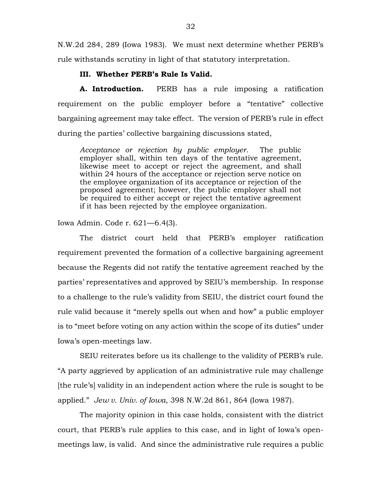N.W.2d 284, 289 (Iowa 1983). We must next determine whether PERB's rule withstands scrutiny in light of that statutory interpretation.

## **III. Whether PERB's Rule Is Valid.**

**A. Introduction.** PERB has a rule imposing a ratification requirement on the public employer before a "tentative" collective bargaining agreement may take effect. The version of PERB's rule in effect during the parties' collective bargaining discussions stated,

*Acceptance or rejection by public employer.* The public employer shall, within ten days of the tentative agreement, likewise meet to accept or reject the agreement, and shall within 24 hours of the acceptance or rejection serve notice on the employee organization of its acceptance or rejection of the proposed agreement; however, the public employer shall not be required to either accept or reject the tentative agreement if it has been rejected by the employee organization.

Iowa Admin. Code r. 621—6.4(3).

The district court held that PERB's employer ratification requirement prevented the formation of a collective bargaining agreement because the Regents did not ratify the tentative agreement reached by the parties' representatives and approved by SEIU's membership. In response to a challenge to the rule's validity from SEIU, the district court found the rule valid because it "merely spells out when and how" a public employer is to "meet before voting on any action within the scope of its duties" under Iowa's open-meetings law.

SEIU reiterates before us its challenge to the validity of PERB's rule. "A party aggrieved by application of an administrative rule may challenge [the rule's] validity in an independent action where the rule is sought to be applied." *Jew v. Univ. of Iowa*, 398 N.W.2d 861, 864 (Iowa 1987).

The majority opinion in this case holds, consistent with the district court, that PERB's rule applies to this case, and in light of Iowa's openmeetings law, is valid. And since the administrative rule requires a public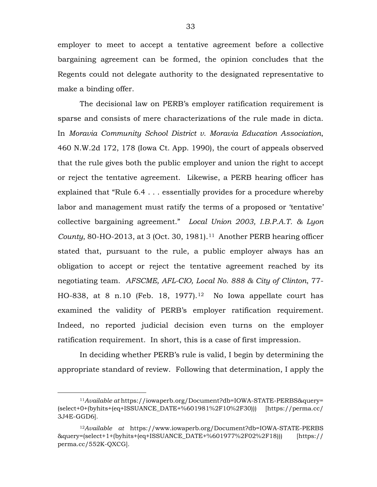employer to meet to accept a tentative agreement before a collective bargaining agreement can be formed, the opinion concludes that the Regents could not delegate authority to the designated representative to make a binding offer.

The decisional law on PERB's employer ratification requirement is sparse and consists of mere characterizations of the rule made in dicta. In *Moravia Community School District v. Moravia Education Association*, 460 N.W.2d 172, 178 (Iowa Ct. App. 1990), the court of appeals observed that the rule gives both the public employer and union the right to accept or reject the tentative agreement. Likewise, a PERB hearing officer has explained that "Rule 6.4 . . . essentially provides for a procedure whereby labor and management must ratify the terms of a proposed or 'tentative' collective bargaining agreement." *Local Union 2003, I.B.P.A.T. & Lyon County*, 80-HO-2013, at 3 (Oct. 30, 1981).[11](#page-32-0) Another PERB hearing officer stated that, pursuant to the rule, a public employer always has an obligation to accept or reject the tentative agreement reached by its negotiating team. *AFSCME, AFL-CIO, Local No. 888 & City of Clinton*, 77- HO-838, at 8 n.10 (Feb. 18, 1977).<sup>[12](#page-32-1)</sup> No Iowa appellate court has examined the validity of PERB's employer ratification requirement. Indeed, no reported judicial decision even turns on the employer ratification requirement. In short, this is a case of first impression.

In deciding whether PERB's rule is valid, I begin by determining the appropriate standard of review. Following that determination, I apply the

<span id="page-32-0"></span> <sup>11</sup>*Available at* https://iowaperb.org/Document?db=IOWA-STATE-PERBS&query= (select+0+(byhits+(eq+ISSUANCE\_DATE+%601981%2F10%2F30))) [https://perma.cc/ 3J4E-GGD6].

<span id="page-32-1"></span><sup>12</sup>*Available at* https://www.iowaperb.org/Document?db=IOWA-STATE-PERBS &query=(select+1+(byhits+(eq+ISSUANCE\_DATE+%601977%2F02%2F18))) [https:// perma.cc/552K-QXCG].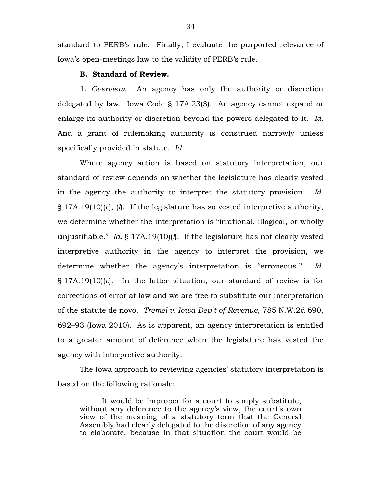standard to PERB's rule. Finally, I evaluate the purported relevance of Iowa's open-meetings law to the validity of PERB's rule.

#### **B. Standard of Review.**

1. *Overview.* An agency has only the authority or discretion delegated by law. Iowa Code § 17A.23(3). An agency cannot expand or enlarge its authority or discretion beyond the powers delegated to it. *Id.* And a grant of rulemaking authority is construed narrowly unless specifically provided in statute. *Id.*

Where agency action is based on statutory interpretation, our standard of review depends on whether the legislature has clearly vested in the agency the authority to interpret the statutory provision. *Id.* § 17A.19(10)(*c*), (*l*). If the legislature has so vested interpretive authority, we determine whether the interpretation is "irrational, illogical, or wholly unjustifiable." *Id.* § 17A.19(10)(*l*). If the legislature has not clearly vested interpretive authority in the agency to interpret the provision, we determine whether the agency's interpretation is "erroneous." *Id.* § 17A.19(10)(*c*). In the latter situation, our standard of review is for corrections of error at law and we are free to substitute our interpretation of the statute de novo. *Tremel v. Iowa Dep't of Revenue*, 785 N.W.2d 690, 692–93 (Iowa 2010). As is apparent, an agency interpretation is entitled to a greater amount of deference when the legislature has vested the agency with interpretive authority.

The Iowa approach to reviewing agencies' statutory interpretation is based on the following rationale:

It would be improper for a court to simply substitute, without any deference to the agency's view, the court's own view of the meaning of a statutory term that the General Assembly had clearly delegated to the discretion of any agency to elaborate, because in that situation the court would be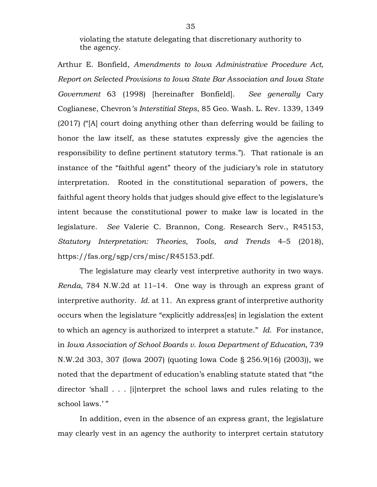violating the statute delegating that discretionary authority to the agency.

Arthur E. Bonfield, *Amendments to Iowa Administrative Procedure Act, Report on Selected Provisions to Iowa State Bar Association and Iowa State Government* 63 (1998) [hereinafter Bonfield]. *See generally* Cary Coglianese, Chevron*'s Interstitial Steps*, 85 Geo. Wash. L. Rev. 1339, 1349 (2017) ("[A] court doing anything other than deferring would be failing to honor the law itself, as these statutes expressly give the agencies the responsibility to define pertinent statutory terms."). That rationale is an instance of the "faithful agent" theory of the judiciary's role in statutory interpretation. Rooted in the constitutional separation of powers, the faithful agent theory holds that judges should give effect to the legislature's intent because the constitutional power to make law is located in the legislature. *See* Valerie C. Brannon, Cong. Research Serv., R45153, *Statutory Interpretation: Theories, Tools, and Trends* 4–5 (2018), https://fas.org/sgp/crs/misc/R45153.pdf.

The legislature may clearly vest interpretive authority in two ways. *Renda*, 784 N.W.2d at 11–14. One way is through an express grant of interpretive authority. *Id.* at 11. An express grant of interpretive authority occurs when the legislature "explicitly address[es] in legislation the extent to which an agency is authorized to interpret a statute." *Id.* For instance, in *Iowa Association of School Boards v. Iowa Department of Education*, 739 N.W.2d 303, 307 (Iowa 2007) (quoting Iowa Code § 256.9(16) (2003)), we noted that the department of education's enabling statute stated that "the director 'shall . . . [i]nterpret the school laws and rules relating to the school laws.'"

In addition, even in the absence of an express grant, the legislature may clearly vest in an agency the authority to interpret certain statutory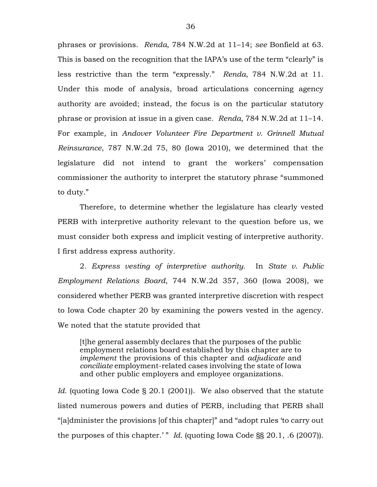phrases or provisions. *Renda*, 784 N.W.2d at 11–14; *see* Bonfield at 63. This is based on the recognition that the IAPA's use of the term "clearly" is less restrictive than the term "expressly." *Renda*, 784 N.W.2d at 11. Under this mode of analysis, broad articulations concerning agency authority are avoided; instead, the focus is on the particular statutory phrase or provision at issue in a given case. *Renda*, 784 N.W.2d at 11–14. For example, in *Andover Volunteer Fire Department v. Grinnell Mutual Reinsurance*, 787 N.W.2d 75, 80 (Iowa 2010), we determined that the legislature did not intend to grant the workers' compensation commissioner the authority to interpret the statutory phrase "summoned to duty."

Therefore, to determine whether the legislature has clearly vested PERB with interpretive authority relevant to the question before us, we must consider both express and implicit vesting of interpretive authority. I first address express authority.

2. *Express vesting of interpretive authority.* In *State v. Public Employment Relations Board*, 744 N.W.2d 357, 360 (Iowa 2008), we considered whether PERB was granted interpretive discretion with respect to Iowa Code chapter 20 by examining the powers vested in the agency. We noted that the statute provided that

[t]he general assembly declares that the purposes of the public employment relations board established by this chapter are to *implement* the provisions of this chapter and *adjudicate* and *conciliate* employment-related cases involving the state of Iowa and other public employers and employee organizations.

*Id.* (quoting Iowa Code § 20.1 (2001)). We also observed that the statute listed numerous powers and duties of PERB, including that PERB shall "[a]dminister the provisions [of this chapter]" and "adopt rules 'to carry out the purposes of this chapter.' " *Id.* (quoting Iowa Code §§ 20.1, .6 (2007)).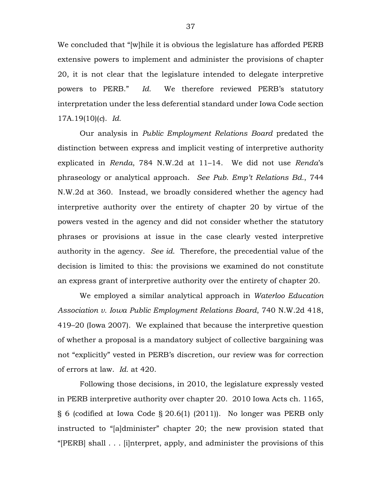We concluded that "[w]hile it is obvious the legislature has afforded PERB extensive powers to implement and administer the provisions of chapter 20, it is not clear that the legislature intended to delegate interpretive powers to PERB." *Id.* We therefore reviewed PERB's statutory interpretation under the less deferential standard under Iowa Code section 17A.19(10)(*c*). *Id.*

Our analysis in *Public Employment Relations Board* predated the distinction between express and implicit vesting of interpretive authority explicated in *Renda*, 784 N.W.2d at 11–14. We did not use *Renda*'s phraseology or analytical approach. *See Pub. Emp't Relations Bd.*, 744 N.W.2d at 360. Instead, we broadly considered whether the agency had interpretive authority over the entirety of chapter 20 by virtue of the powers vested in the agency and did not consider whether the statutory phrases or provisions at issue in the case clearly vested interpretive authority in the agency. *See id.* Therefore, the precedential value of the decision is limited to this: the provisions we examined do not constitute an express grant of interpretive authority over the entirety of chapter 20.

We employed a similar analytical approach in *Waterloo Education Association v. Iowa Public Employment Relations Board*, 740 N.W.2d 418, 419–20 (Iowa 2007). We explained that because the interpretive question of whether a proposal is a mandatory subject of collective bargaining was not "explicitly" vested in PERB's discretion, our review was for correction of errors at law. *Id.* at 420.

Following those decisions, in 2010, the legislature expressly vested in PERB interpretive authority over chapter 20. 2010 Iowa Acts ch. 1165, § 6 (codified at Iowa Code § 20.6(1) (2011)). No longer was PERB only instructed to "[a]dminister" chapter 20; the new provision stated that "[PERB] shall . . . [i]nterpret, apply, and administer the provisions of this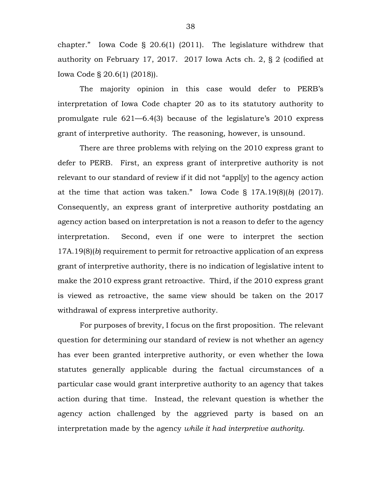chapter." Iowa Code § 20.6(1) (2011). The legislature withdrew that authority on February 17, 2017. 2017 Iowa Acts ch. 2, § 2 (codified at Iowa Code § 20.6(1) (2018)).

The majority opinion in this case would defer to PERB's interpretation of Iowa Code chapter 20 as to its statutory authority to promulgate rule 621—6.4(3) because of the legislature's 2010 express grant of interpretive authority. The reasoning, however, is unsound.

There are three problems with relying on the 2010 express grant to defer to PERB. First, an express grant of interpretive authority is not relevant to our standard of review if it did not "appl[y] to the agency action at the time that action was taken." Iowa Code § 17A.19(8)(*b*) (2017). Consequently, an express grant of interpretive authority postdating an agency action based on interpretation is not a reason to defer to the agency interpretation.Second, even if one were to interpret the section 17A.19(8)(*b*) requirement to permit for retroactive application of an express grant of interpretive authority, there is no indication of legislative intent to make the 2010 express grant retroactive. Third, if the 2010 express grant is viewed as retroactive, the same view should be taken on the 2017 withdrawal of express interpretive authority.

For purposes of brevity, I focus on the first proposition. The relevant question for determining our standard of review is not whether an agency has ever been granted interpretive authority, or even whether the Iowa statutes generally applicable during the factual circumstances of a particular case would grant interpretive authority to an agency that takes action during that time. Instead, the relevant question is whether the agency action challenged by the aggrieved party is based on an interpretation made by the agency *while it had interpretive authority*.

38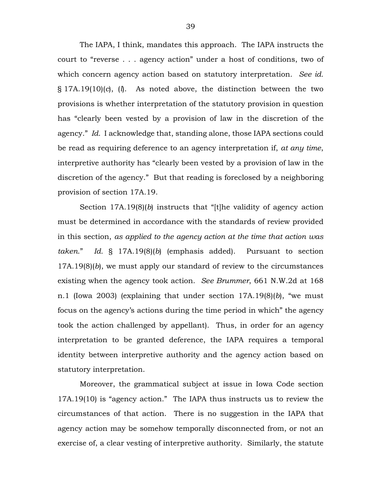The IAPA, I think, mandates this approach. The IAPA instructs the court to "reverse . . . agency action" under a host of conditions, two of which concern agency action based on statutory interpretation. *See id.* § 17A.19(10)(*c*), (*l*). As noted above, the distinction between the two provisions is whether interpretation of the statutory provision in question has "clearly been vested by a provision of law in the discretion of the agency." *Id.* I acknowledge that, standing alone, those IAPA sections could be read as requiring deference to an agency interpretation if, *at any time*, interpretive authority has "clearly been vested by a provision of law in the discretion of the agency." But that reading is foreclosed by a neighboring provision of section 17A.19.

Section 17A.19(8)(*b*) instructs that "[t]he validity of agency action must be determined in accordance with the standards of review provided in this section, *as applied to the agency action at the time that action was taken*." *Id.* § 17A.19(8)(*b*) (emphasis added). Pursuant to section 17A.19(8)(*b*), we must apply our standard of review to the circumstances existing when the agency took action. *See Brummer*, 661 N.W.2d at 168 n.1 (Iowa 2003) (explaining that under section 17A.19(8)(*b*), "we must focus on the agency's actions during the time period in which" the agency took the action challenged by appellant). Thus, in order for an agency interpretation to be granted deference, the IAPA requires a temporal identity between interpretive authority and the agency action based on statutory interpretation.

Moreover, the grammatical subject at issue in Iowa Code section 17A.19(10) is "agency action." The IAPA thus instructs us to review the circumstances of that action. There is no suggestion in the IAPA that agency action may be somehow temporally disconnected from, or not an exercise of, a clear vesting of interpretive authority. Similarly, the statute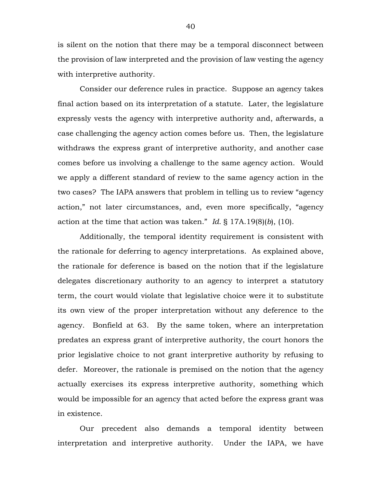is silent on the notion that there may be a temporal disconnect between the provision of law interpreted and the provision of law vesting the agency with interpretive authority.

Consider our deference rules in practice. Suppose an agency takes final action based on its interpretation of a statute. Later, the legislature expressly vests the agency with interpretive authority and, afterwards, a case challenging the agency action comes before us. Then, the legislature withdraws the express grant of interpretive authority, and another case comes before us involving a challenge to the same agency action. Would we apply a different standard of review to the same agency action in the two cases? The IAPA answers that problem in telling us to review "agency action," not later circumstances, and, even more specifically, "agency action at the time that action was taken." *Id.* § 17A.19(8)(*b*), (10).

Additionally, the temporal identity requirement is consistent with the rationale for deferring to agency interpretations. As explained above, the rationale for deference is based on the notion that if the legislature delegates discretionary authority to an agency to interpret a statutory term, the court would violate that legislative choice were it to substitute its own view of the proper interpretation without any deference to the agency. Bonfield at 63. By the same token, where an interpretation predates an express grant of interpretive authority, the court honors the prior legislative choice to not grant interpretive authority by refusing to defer. Moreover, the rationale is premised on the notion that the agency actually exercises its express interpretive authority, something which would be impossible for an agency that acted before the express grant was in existence.

Our precedent also demands a temporal identity between interpretation and interpretive authority. Under the IAPA, we have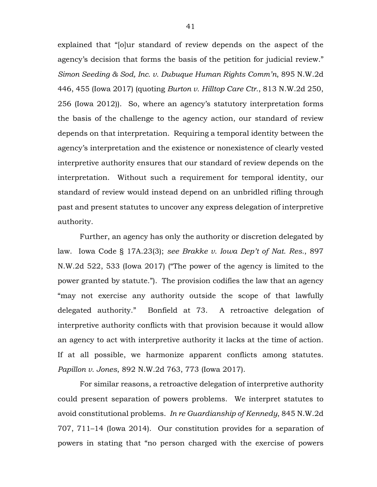explained that "[o]ur standard of review depends on the aspect of the agency's decision that forms the basis of the petition for judicial review." *Simon Seeding & Sod, Inc. v. Dubuque Human Rights Comm'n*, 895 N.W.2d 446, 455 (Iowa 2017) (quoting *Burton v. Hilltop Care Ctr.*, 813 N.W.2d 250, 256 (Iowa 2012)). So, where an agency's statutory interpretation forms the basis of the challenge to the agency action, our standard of review depends on that interpretation. Requiring a temporal identity between the agency's interpretation and the existence or nonexistence of clearly vested interpretive authority ensures that our standard of review depends on the interpretation. Without such a requirement for temporal identity, our standard of review would instead depend on an unbridled rifling through past and present statutes to uncover any express delegation of interpretive authority.

Further, an agency has only the authority or discretion delegated by law. Iowa Code § 17A.23(3); *see Brakke v. Iowa Dep't of Nat. Res.*, 897 N.W.2d 522, 533 (Iowa 2017) ("The power of the agency is limited to the power granted by statute."). The provision codifies the law that an agency "may not exercise any authority outside the scope of that lawfully delegated authority." Bonfield at 73. A retroactive delegation of interpretive authority conflicts with that provision because it would allow an agency to act with interpretive authority it lacks at the time of action. If at all possible, we harmonize apparent conflicts among statutes. *Papillon v. Jones*, 892 N.W.2d 763, 773 (Iowa 2017).

For similar reasons, a retroactive delegation of interpretive authority could present separation of powers problems. We interpret statutes to avoid constitutional problems. *In re Guardianship of Kennedy*, 845 N.W.2d 707, 711–14 (Iowa 2014). Our constitution provides for a separation of powers in stating that "no person charged with the exercise of powers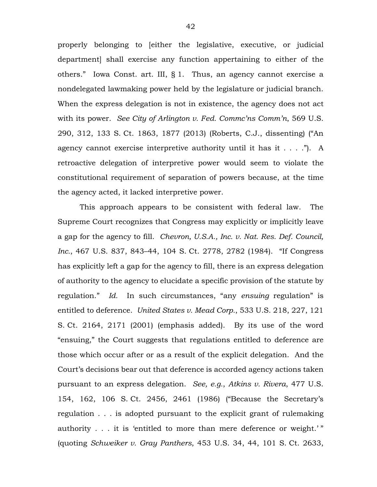properly belonging to [either the legislative, executive, or judicial department] shall exercise any function appertaining to either of the others." Iowa Const. art. III, § 1. Thus, an agency cannot exercise a nondelegated lawmaking power held by the legislature or judicial branch. When the express delegation is not in existence, the agency does not act with its power. *See City of Arlington v. Fed. Commc'ns Comm'n*, 569 U.S. 290, 312, 133 S. Ct. 1863, 1877 (2013) (Roberts, C.J., dissenting) ("An agency cannot exercise interpretive authority until it has it . . . ."). A retroactive delegation of interpretive power would seem to violate the constitutional requirement of separation of powers because, at the time the agency acted, it lacked interpretive power.

This approach appears to be consistent with federal law. The Supreme Court recognizes that Congress may explicitly or implicitly leave a gap for the agency to fill. *Chevron, U.S.A., Inc. v. Nat. Res. Def. Council, Inc.*, 467 U.S. 837, 843–44, 104 S. Ct. 2778, 2782 (1984). "If Congress has explicitly left a gap for the agency to fill, there is an express delegation of authority to the agency to elucidate a specific provision of the statute by regulation." *Id.* In such circumstances, "any *ensuing* regulation" is entitled to deference. *United States v. Mead Corp.*, 533 U.S. 218, 227, 121 S. Ct. 2164, 2171 (2001) (emphasis added). By its use of the word "ensuing," the Court suggests that regulations entitled to deference are those which occur after or as a result of the explicit delegation. And the Court's decisions bear out that deference is accorded agency actions taken pursuant to an express delegation. *See, e.g.*, *Atkins v. Rivera*, 477 U.S. 154, 162, 106 S. Ct. 2456, 2461 (1986) ("Because the Secretary's regulation . . . is adopted pursuant to the explicit grant of rulemaking authority . . . it is 'entitled to more than mere deference or weight.'" (quoting *Schweiker v. Gray Panthers*, 453 U.S. 34, 44, 101 S. Ct. 2633,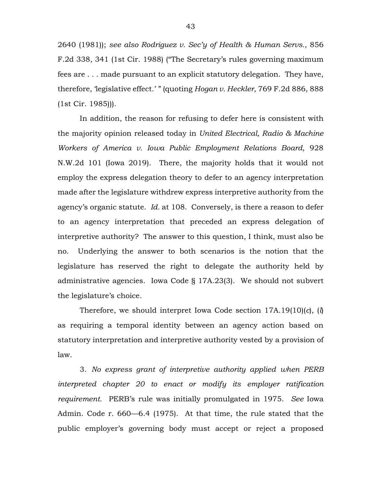2640 (1981)); *see also Rodriguez v. Sec'y of Health & Human Servs.*, 856 F.2d 338, 341 (1st Cir. 1988) ("The Secretary's rules governing maximum fees are . . . made pursuant to an explicit statutory delegation. They have, therefore, 'legislative effect.' " (quoting *Hogan v. Heckler*, 769 F.2d 886, 888 (1st Cir. 1985))).

In addition, the reason for refusing to defer here is consistent with the majority opinion released today in *United Electrical, Radio & Machine Workers of America v. Iowa Public Employment Relations Board*, 928 N.W.2d 101 (Iowa 2019). There, the majority holds that it would not employ the express delegation theory to defer to an agency interpretation made after the legislature withdrew express interpretive authority from the agency's organic statute. *Id.* at 108. Conversely, is there a reason to defer to an agency interpretation that preceded an express delegation of interpretive authority? The answer to this question, I think, must also be no. Underlying the answer to both scenarios is the notion that the legislature has reserved the right to delegate the authority held by administrative agencies. Iowa Code § 17A.23(3). We should not subvert the legislature's choice.

Therefore, we should interpret Iowa Code section 17A.19(10)(*c*), (*l*) as requiring a temporal identity between an agency action based on statutory interpretation and interpretive authority vested by a provision of law.

3. *No express grant of interpretive authority applied when PERB interpreted chapter 20 to enact or modify its employer ratification requirement.* PERB's rule was initially promulgated in 1975. *See* Iowa Admin. Code r. 660—6.4 (1975). At that time, the rule stated that the public employer's governing body must accept or reject a proposed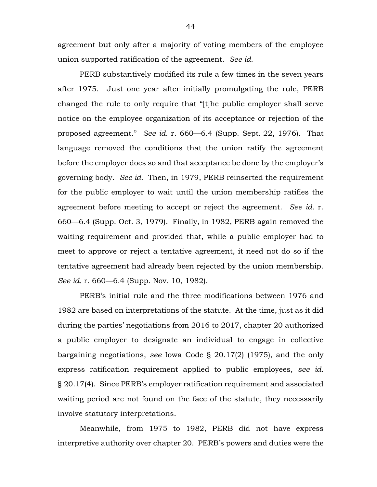agreement but only after a majority of voting members of the employee union supported ratification of the agreement. *See id.*

PERB substantively modified its rule a few times in the seven years after 1975. Just one year after initially promulgating the rule, PERB changed the rule to only require that "[t]he public employer shall serve notice on the employee organization of its acceptance or rejection of the proposed agreement." *See id.* r. 660—6.4 (Supp. Sept. 22, 1976). That language removed the conditions that the union ratify the agreement before the employer does so and that acceptance be done by the employer's governing body. *See id.* Then, in 1979, PERB reinserted the requirement for the public employer to wait until the union membership ratifies the agreement before meeting to accept or reject the agreement. *See id.* r. 660—6.4 (Supp. Oct. 3, 1979). Finally, in 1982, PERB again removed the waiting requirement and provided that, while a public employer had to meet to approve or reject a tentative agreement, it need not do so if the tentative agreement had already been rejected by the union membership. *See id.* r. 660—6.4 (Supp. Nov. 10, 1982).

PERB's initial rule and the three modifications between 1976 and 1982 are based on interpretations of the statute. At the time, just as it did during the parties' negotiations from 2016 to 2017, chapter 20 authorized a public employer to designate an individual to engage in collective bargaining negotiations, *see* Iowa Code § 20.17(2) (1975), and the only express ratification requirement applied to public employees, *see id.* § 20.17(4). Since PERB's employer ratification requirement and associated waiting period are not found on the face of the statute, they necessarily involve statutory interpretations.

Meanwhile, from 1975 to 1982, PERB did not have express interpretive authority over chapter 20. PERB's powers and duties were the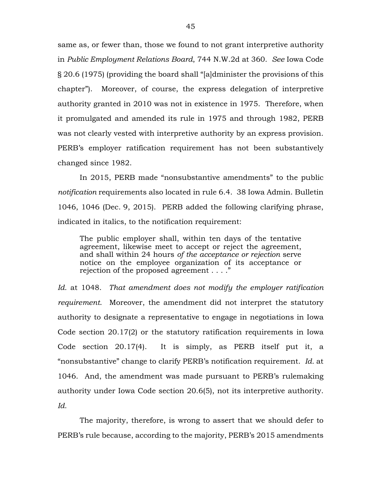same as, or fewer than, those we found to not grant interpretive authority in *Public Employment Relations Board*, 744 N.W.2d at 360. *See* Iowa Code § 20.6 (1975) (providing the board shall "[a]dminister the provisions of this chapter"). Moreover, of course, the express delegation of interpretive authority granted in 2010 was not in existence in 1975. Therefore, when it promulgated and amended its rule in 1975 and through 1982, PERB was not clearly vested with interpretive authority by an express provision. PERB's employer ratification requirement has not been substantively changed since 1982.

In 2015, PERB made "nonsubstantive amendments" to the public *notification* requirements also located in rule 6.4. 38 Iowa Admin. Bulletin 1046, 1046 (Dec. 9, 2015). PERB added the following clarifying phrase, indicated in italics, to the notification requirement:

The public employer shall, within ten days of the tentative agreement, likewise meet to accept or reject the agreement, and shall within 24 hours *of the acceptance or rejection* serve notice on the employee organization of its acceptance or rejection of the proposed agreement . . . ."

*Id.* at 1048. *That amendment does not modify the employer ratification requirement*. Moreover, the amendment did not interpret the statutory authority to designate a representative to engage in negotiations in Iowa Code section 20.17(2) or the statutory ratification requirements in Iowa Code section 20.17(4). It is simply, as PERB itself put it, a "nonsubstantive" change to clarify PERB's notification requirement. *Id.* at 1046. And, the amendment was made pursuant to PERB's rulemaking authority under Iowa Code section 20.6(5), not its interpretive authority. *Id.*

The majority, therefore, is wrong to assert that we should defer to PERB's rule because, according to the majority, PERB's 2015 amendments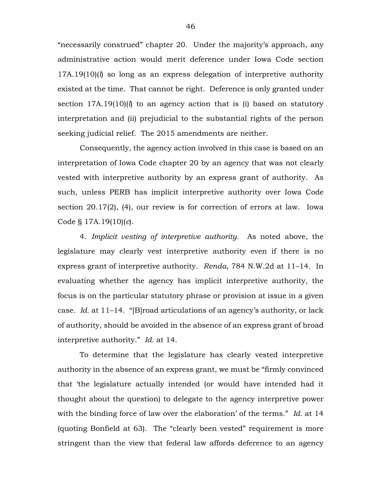"necessarily construed" chapter 20. Under the majority's approach, any administrative action would merit deference under Iowa Code section 17A.19(10)(*l*) so long as an express delegation of interpretive authority existed at the time. That cannot be right. Deference is only granted under section 17A.19(10)(*l*) to an agency action that is (i) based on statutory interpretation and (ii) prejudicial to the substantial rights of the person seeking judicial relief. The 2015 amendments are neither.

Consequently, the agency action involved in this case is based on an interpretation of Iowa Code chapter 20 by an agency that was not clearly vested with interpretive authority by an express grant of authority. As such, unless PERB has implicit interpretive authority over Iowa Code section 20.17(2), (4), our review is for correction of errors at law. Iowa Code § 17A.19(10)(*c*).

4. *Implicit vesting of interpretive authority.* As noted above, the legislature may clearly vest interpretive authority even if there is no express grant of interpretive authority. *Renda*, 784 N.W.2d at 11–14. In evaluating whether the agency has implicit interpretive authority, the focus is on the particular statutory phrase or provision at issue in a given case. *Id.* at 11–14. "[B]road articulations of an agency's authority, or lack of authority, should be avoided in the absence of an express grant of broad interpretive authority." *Id.* at 14.

To determine that the legislature has clearly vested interpretive authority in the absence of an express grant, we must be "firmly convinced that 'the legislature actually intended (or would have intended had it thought about the question) to delegate to the agency interpretive power with the binding force of law over the elaboration' of the terms." *Id.* at 14 (quoting Bonfield at 63). The "clearly been vested" requirement is more stringent than the view that federal law affords deference to an agency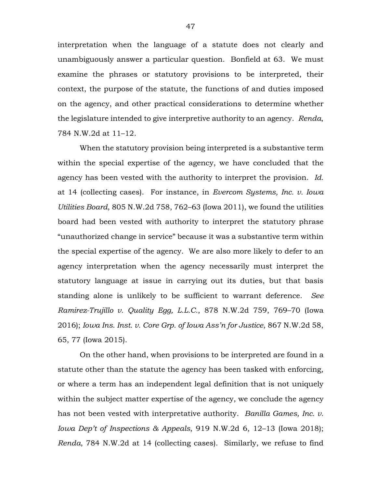interpretation when the language of a statute does not clearly and unambiguously answer a particular question. Bonfield at 63. We must examine the phrases or statutory provisions to be interpreted, their context, the purpose of the statute, the functions of and duties imposed on the agency, and other practical considerations to determine whether the legislature intended to give interpretive authority to an agency. *Renda*, 784 N.W.2d at 11–12.

When the statutory provision being interpreted is a substantive term within the special expertise of the agency, we have concluded that the agency has been vested with the authority to interpret the provision. *Id.* at 14 (collecting cases). For instance, in *Evercom Systems, Inc. v. Iowa Utilities Board*, 805 N.W.2d 758, 762–63 (Iowa 2011), we found the utilities board had been vested with authority to interpret the statutory phrase "unauthorized change in service" because it was a substantive term within the special expertise of the agency. We are also more likely to defer to an agency interpretation when the agency necessarily must interpret the statutory language at issue in carrying out its duties, but that basis standing alone is unlikely to be sufficient to warrant deference. *See Ramirez-Trujillo v. Quality Egg, L.L.C.*, 878 N.W.2d 759, 769–70 (Iowa 2016); *Iowa Ins. Inst. v. Core Grp. of Iowa Ass'n for Justice*, 867 N.W.2d 58, 65, 77 (Iowa 2015).

On the other hand, when provisions to be interpreted are found in a statute other than the statute the agency has been tasked with enforcing, or where a term has an independent legal definition that is not uniquely within the subject matter expertise of the agency, we conclude the agency has not been vested with interpretative authority. *Banilla Games, Inc. v. Iowa Dep't of Inspections & Appeals*, 919 N.W.2d 6, 12–13 (Iowa 2018); *Renda*, 784 N.W.2d at 14 (collecting cases). Similarly, we refuse to find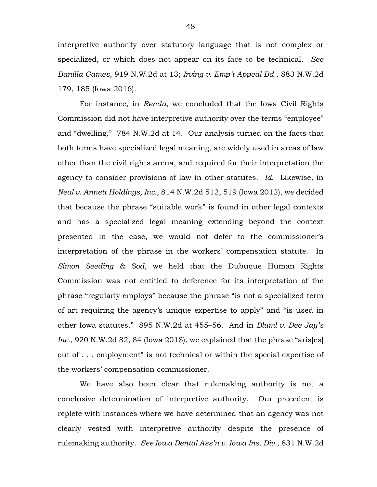interpretive authority over statutory language that is not complex or specialized, or which does not appear on its face to be technical. *See Banilla Games*, 919 N.W.2d at 13; *Irving v. Emp't Appeal Bd.*, 883 N.W.2d 179, 185 (Iowa 2016).

For instance, in *Renda*, we concluded that the Iowa Civil Rights Commission did not have interpretive authority over the terms "employee" and "dwelling." 784 N.W.2d at 14. Our analysis turned on the facts that both terms have specialized legal meaning, are widely used in areas of law other than the civil rights arena, and required for their interpretation the agency to consider provisions of law in other statutes. *Id.* Likewise, in *Neal v. Annett Holdings, Inc.*, 814 N.W.2d 512, 519 (Iowa 2012), we decided that because the phrase "suitable work" is found in other legal contexts and has a specialized legal meaning extending beyond the context presented in the case, we would not defer to the commissioner's interpretation of the phrase in the workers' compensation statute. In *Simon Seeding & Sod*, we held that the Dubuque Human Rights Commission was not entitled to deference for its interpretation of the phrase "regularly employs" because the phrase "is not a specialized term of art requiring the agency's unique expertise to apply" and "is used in other Iowa statutes." 895 N.W.2d at 455–56. And in *Bluml v. Dee Jay's Inc.*, 920 N.W.2d 82, 84 (Iowa 2018), we explained that the phrase "aris[es] out of . . . employment" is not technical or within the special expertise of the workers' compensation commissioner.

We have also been clear that rulemaking authority is not a conclusive determination of interpretive authority. Our precedent is replete with instances where we have determined that an agency was not clearly vested with interpretive authority despite the presence of rulemaking authority. *See Iowa Dental Ass'n v. Iowa Ins. Div.*, 831 N.W.2d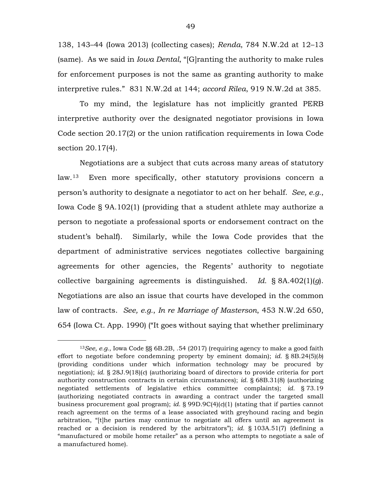138, 143–44 (Iowa 2013) (collecting cases); *Renda*, 784 N.W.2d at 12–13 (same). As we said in *Iowa Dental*, "[G]ranting the authority to make rules for enforcement purposes is not the same as granting authority to make interpretive rules." 831 N.W.2d at 144; *accord Rilea*, 919 N.W.2d at 385.

To my mind, the legislature has not implicitly granted PERB interpretive authority over the designated negotiator provisions in Iowa Code section 20.17(2) or the union ratification requirements in Iowa Code section 20.17(4).

Negotiations are a subject that cuts across many areas of statutory law.[13](#page-48-0) Even more specifically, other statutory provisions concern a person's authority to designate a negotiator to act on her behalf. *See, e.g.*, Iowa Code § 9A.102(1) (providing that a student athlete may authorize a person to negotiate a professional sports or endorsement contract on the student's behalf). Similarly, while the Iowa Code provides that the department of administrative services negotiates collective bargaining agreements for other agencies, the Regents' authority to negotiate collective bargaining agreements is distinguished. *Id.* § 8A.402(1)(*g*). Negotiations are also an issue that courts have developed in the common law of contracts. *See, e.g.*, *In re Marriage of Masterson*, 453 N.W.2d 650, 654 (Iowa Ct. App. 1990) ("It goes without saying that whether preliminary

<span id="page-48-0"></span> <sup>13</sup>*See, e.g.*, Iowa Code §§ 6B.2B, .54 (2017) (requiring agency to make a good faith effort to negotiate before condemning property by eminent domain); *id.* § 8B.24(5)(*b*) (providing conditions under which information technology may be procured by negotiation); *id.* § 28J.9(18)(*c*) (authorizing board of directors to provide criteria for port authority construction contracts in certain circumstances); *id.* § 68B.31(8) (authorizing negotiated settlements of legislative ethics committee complaints); *id.* § 73.19 (authorizing negotiated contracts in awarding a contract under the targeted small business procurement goal program); *id.* § 99D.9C(4)(*c*)(1) (stating that if parties cannot reach agreement on the terms of a lease associated with greyhound racing and begin arbitration, "[t]he parties may continue to negotiate all offers until an agreement is reached or a decision is rendered by the arbitrators"); *id.* § 103A.51(7) (defining a "manufactured or mobile home retailer" as a person who attempts to negotiate a sale of a manufactured home).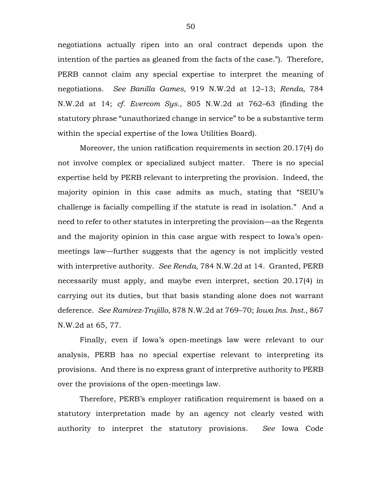negotiations actually ripen into an oral contract depends upon the intention of the parties as gleaned from the facts of the case."). Therefore, PERB cannot claim any special expertise to interpret the meaning of negotiations. *See Banilla Games*, 919 N.W.2d at 12–13; *Renda*, 784 N.W.2d at 14; *cf. Evercom Sys.*, 805 N.W.2d at 762–63 (finding the statutory phrase "unauthorized change in service" to be a substantive term within the special expertise of the Iowa Utilities Board).

Moreover, the union ratification requirements in section 20.17(4) do not involve complex or specialized subject matter. There is no special expertise held by PERB relevant to interpreting the provision. Indeed, the majority opinion in this case admits as much, stating that "SEIU's challenge is facially compelling if the statute is read in isolation." And a need to refer to other statutes in interpreting the provision—as the Regents and the majority opinion in this case argue with respect to Iowa's openmeetings law—further suggests that the agency is not implicitly vested with interpretive authority. *See Renda*, 784 N.W.2d at 14. Granted, PERB necessarily must apply, and maybe even interpret, section 20.17(4) in carrying out its duties, but that basis standing alone does not warrant deference. *See Ramirez-Trujillo*, 878 N.W.2d at 769–70; *Iowa Ins. Inst.*, 867 N.W.2d at 65, 77.

Finally, even if Iowa's open-meetings law were relevant to our analysis, PERB has no special expertise relevant to interpreting its provisions. And there is no express grant of interpretive authority to PERB over the provisions of the open-meetings law.

Therefore, PERB's employer ratification requirement is based on a statutory interpretation made by an agency not clearly vested with authority to interpret the statutory provisions. *See* Iowa Code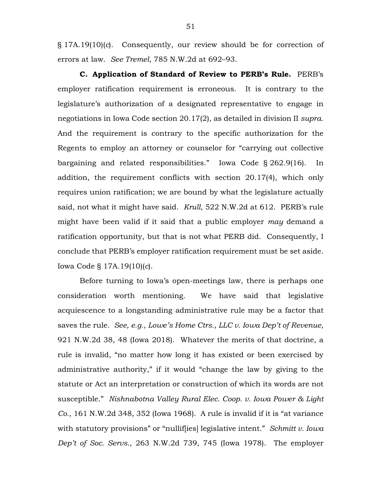§ 17A.19(10)(*c*). Consequently, our review should be for correction of errors at law. *See Tremel*, 785 N.W.2d at 692–93.

**C. Application of Standard of Review to PERB's Rule.** PERB's employer ratification requirement is erroneous. It is contrary to the legislature's authorization of a designated representative to engage in negotiations in Iowa Code section 20.17(2), as detailed in division II *supra*. And the requirement is contrary to the specific authorization for the Regents to employ an attorney or counselor for "carrying out collective bargaining and related responsibilities." Iowa Code § 262.9(16). In addition, the requirement conflicts with section 20.17(4), which only requires union ratification; we are bound by what the legislature actually said, not what it might have said. *Krull*, 522 N.W.2d at 612. PERB's rule might have been valid if it said that a public employer *may* demand a ratification opportunity, but that is not what PERB did. Consequently, I conclude that PERB's employer ratification requirement must be set aside. Iowa Code § 17A.19(10)(*c*).

Before turning to Iowa's open-meetings law, there is perhaps one consideration worth mentioning. We have said that legislative acquiescence to a longstanding administrative rule may be a factor that saves the rule. *See, e.g.*, *Lowe's Home Ctrs., LLC v. Iowa Dep't of Revenue*, 921 N.W.2d 38, 48 (Iowa 2018). Whatever the merits of that doctrine, a rule is invalid, "no matter how long it has existed or been exercised by administrative authority," if it would "change the law by giving to the statute or Act an interpretation or construction of which its words are not susceptible." *Nishnabotna Valley Rural Elec. Coop. v. Iowa Power & Light Co.*, 161 N.W.2d 348, 352 (Iowa 1968). A rule is invalid if it is "at variance with statutory provisions" or "nulliffies] legislative intent." *Schmitt v. Iowa Dep't of Soc. Servs.*, 263 N.W.2d 739, 745 (Iowa 1978). The employer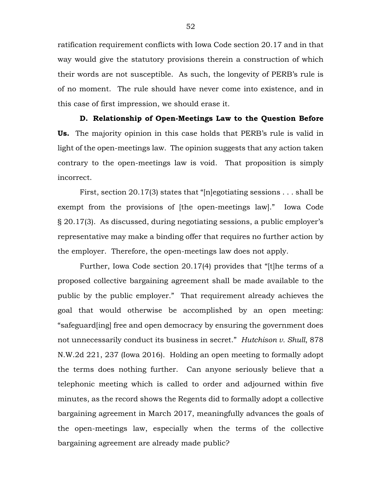ratification requirement conflicts with Iowa Code section 20.17 and in that way would give the statutory provisions therein a construction of which their words are not susceptible. As such, the longevity of PERB's rule is of no moment. The rule should have never come into existence, and in this case of first impression, we should erase it.

**D. Relationship of Open-Meetings Law to the Question Before Us.** The majority opinion in this case holds that PERB's rule is valid in light of the open-meetings law. The opinion suggests that any action taken contrary to the open-meetings law is void. That proposition is simply incorrect.

First, section 20.17(3) states that "[n]egotiating sessions . . . shall be exempt from the provisions of [the open-meetings law]." Iowa Code § 20.17(3). As discussed, during negotiating sessions, a public employer's representative may make a binding offer that requires no further action by the employer. Therefore, the open-meetings law does not apply.

Further, Iowa Code section 20.17(4) provides that "[t]he terms of a proposed collective bargaining agreement shall be made available to the public by the public employer." That requirement already achieves the goal that would otherwise be accomplished by an open meeting: "safeguard[ing] free and open democracy by ensuring the government does not unnecessarily conduct its business in secret." *Hutchison v. Shull*, 878 N.W.2d 221, 237 (Iowa 2016). Holding an open meeting to formally adopt the terms does nothing further. Can anyone seriously believe that a telephonic meeting which is called to order and adjourned within five minutes, as the record shows the Regents did to formally adopt a collective bargaining agreement in March 2017, meaningfully advances the goals of the open-meetings law, especially when the terms of the collective bargaining agreement are already made public?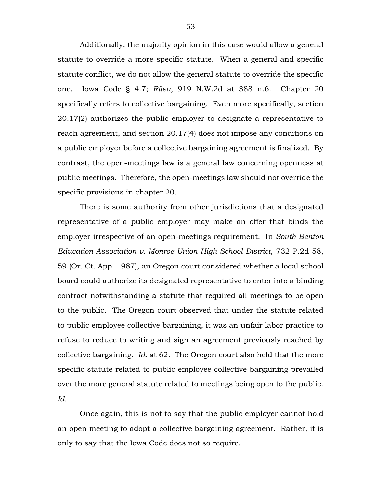Additionally, the majority opinion in this case would allow a general statute to override a more specific statute. When a general and specific statute conflict, we do not allow the general statute to override the specific one. Iowa Code § 4.7; *Rilea*, 919 N.W.2d at 388 n.6. Chapter 20 specifically refers to collective bargaining. Even more specifically, section 20.17(2) authorizes the public employer to designate a representative to reach agreement, and section 20.17(4) does not impose any conditions on a public employer before a collective bargaining agreement is finalized. By contrast, the open-meetings law is a general law concerning openness at public meetings. Therefore, the open-meetings law should not override the specific provisions in chapter 20.

There is some authority from other jurisdictions that a designated representative of a public employer may make an offer that binds the employer irrespective of an open-meetings requirement. In *South Benton Education Association v. Monroe Union High School District*, 732 P.2d 58, 59 (Or. Ct. App. 1987), an Oregon court considered whether a local school board could authorize its designated representative to enter into a binding contract notwithstanding a statute that required all meetings to be open to the public. The Oregon court observed that under the statute related to public employee collective bargaining, it was an unfair labor practice to refuse to reduce to writing and sign an agreement previously reached by collective bargaining. *Id.* at 62. The Oregon court also held that the more specific statute related to public employee collective bargaining prevailed over the more general statute related to meetings being open to the public. *Id.*

Once again, this is not to say that the public employer cannot hold an open meeting to adopt a collective bargaining agreement. Rather, it is only to say that the Iowa Code does not so require.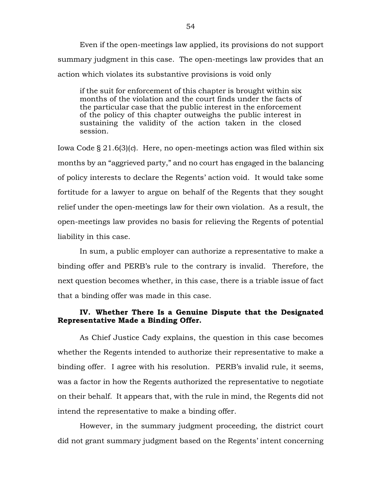Even if the open-meetings law applied, its provisions do not support summary judgment in this case. The open-meetings law provides that an action which violates its substantive provisions is void only

if the suit for enforcement of this chapter is brought within six months of the violation and the court finds under the facts of the particular case that the public interest in the enforcement of the policy of this chapter outweighs the public interest in sustaining the validity of the action taken in the closed session.

Iowa Code § 21.6(3)(*c*). Here, no open-meetings action was filed within six months by an "aggrieved party," and no court has engaged in the balancing of policy interests to declare the Regents' action void. It would take some fortitude for a lawyer to argue on behalf of the Regents that they sought relief under the open-meetings law for their own violation. As a result, the open-meetings law provides no basis for relieving the Regents of potential liability in this case.

In sum, a public employer can authorize a representative to make a binding offer and PERB's rule to the contrary is invalid. Therefore, the next question becomes whether, in this case, there is a triable issue of fact that a binding offer was made in this case.

# **IV. Whether There Is a Genuine Dispute that the Designated Representative Made a Binding Offer.**

As Chief Justice Cady explains, the question in this case becomes whether the Regents intended to authorize their representative to make a binding offer. I agree with his resolution. PERB's invalid rule, it seems, was a factor in how the Regents authorized the representative to negotiate on their behalf. It appears that, with the rule in mind, the Regents did not intend the representative to make a binding offer.

However, in the summary judgment proceeding, the district court did not grant summary judgment based on the Regents' intent concerning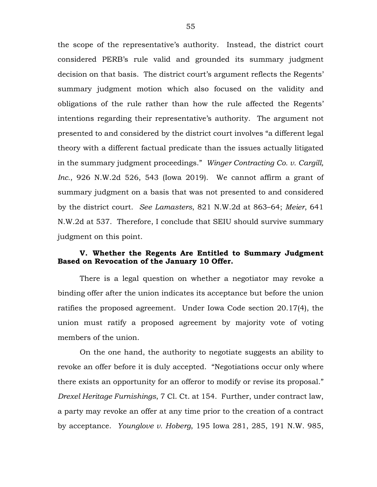the scope of the representative's authority. Instead, the district court considered PERB's rule valid and grounded its summary judgment decision on that basis. The district court's argument reflects the Regents' summary judgment motion which also focused on the validity and obligations of the rule rather than how the rule affected the Regents' intentions regarding their representative's authority. The argument not presented to and considered by the district court involves "a different legal theory with a different factual predicate than the issues actually litigated in the summary judgment proceedings." *Winger Contracting Co. v. Cargill, Inc.*, 926 N.W.2d 526, 543 (Iowa 2019). We cannot affirm a grant of summary judgment on a basis that was not presented to and considered by the district court. *See Lamasters*, 821 N.W.2d at 863–64; *Meier*, 641 N.W.2d at 537. Therefore, I conclude that SEIU should survive summary judgment on this point.

# **V. Whether the Regents Are Entitled to Summary Judgment Based on Revocation of the January 10 Offer.**

There is a legal question on whether a negotiator may revoke a binding offer after the union indicates its acceptance but before the union ratifies the proposed agreement. Under Iowa Code section 20.17(4), the union must ratify a proposed agreement by majority vote of voting members of the union.

On the one hand, the authority to negotiate suggests an ability to revoke an offer before it is duly accepted. "Negotiations occur only where there exists an opportunity for an offeror to modify or revise its proposal." *Drexel Heritage Furnishings*, 7 Cl. Ct. at 154. Further, under contract law, a party may revoke an offer at any time prior to the creation of a contract by acceptance. *Younglove v. Hoberg*, 195 Iowa 281, 285, 191 N.W. 985,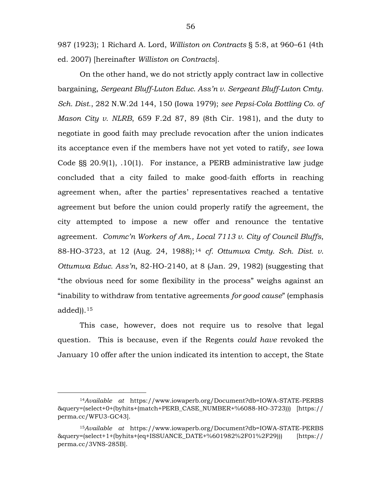987 (1923); 1 Richard A. Lord, *Williston on Contracts* § 5:8, at 960–61 (4th ed. 2007) [hereinafter *Williston on Contracts*].

On the other hand, we do not strictly apply contract law in collective bargaining, *Sergeant Bluff-Luton Educ. Ass'n v. Sergeant Bluff-Luton Cmty. Sch. Dist.*, 282 N.W.2d 144, 150 (Iowa 1979); *see Pepsi-Cola Bottling Co. of Mason City v. NLRB*, 659 F.2d 87, 89 (8th Cir. 1981), and the duty to negotiate in good faith may preclude revocation after the union indicates its acceptance even if the members have not yet voted to ratify, *see* Iowa Code §§ 20.9(1), .10(1). For instance, a PERB administrative law judge concluded that a city failed to make good-faith efforts in reaching agreement when, after the parties' representatives reached a tentative agreement but before the union could properly ratify the agreement, the city attempted to impose a new offer and renounce the tentative agreement. *Commc'n Workers of Am., Local 7113 v. City of Council Bluffs*, 88-HO-3723, at 12 (Aug. 24, 1988);[14](#page-55-0) *cf. Ottumwa Cmty. Sch. Dist. v. Ottumwa Educ. Ass'n*, 82-HO-2140, at 8 (Jan. 29, 1982) (suggesting that "the obvious need for some flexibility in the process" weighs against an "inability to withdraw from tentative agreements *for good cause*" (emphasis added)).[15](#page-55-1)

This case, however, does not require us to resolve that legal question. This is because, even if the Regents *could have* revoked the January 10 offer after the union indicated its intention to accept, the State

<span id="page-55-0"></span> <sup>14</sup>*Available at* https://www.iowaperb.org/Document?db=IOWA-STATE-PERBS &query=(select+0+(byhits+(match+PERB\_CASE\_NUMBER+%6088-HO-3723))) [https:// perma.cc/WFU3-GC43].

<span id="page-55-1"></span><sup>15</sup>*Available at* https://www.iowaperb.org/Document?db=IOWA-STATE-PERBS &query=(select+1+(byhits+(eq+ISSUANCE\_DATE+%601982%2F01%2F29))) [https:// perma.cc/3VNS-285B].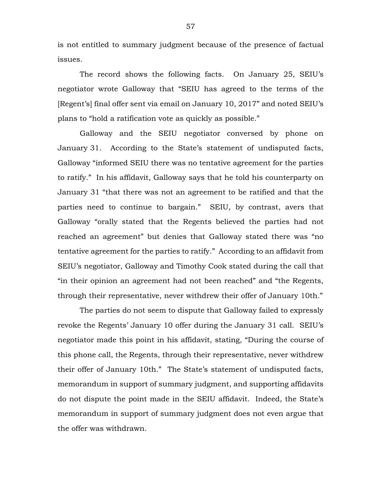is not entitled to summary judgment because of the presence of factual issues.

The record shows the following facts. On January 25, SEIU's negotiator wrote Galloway that "SEIU has agreed to the terms of the [Regent's] final offer sent via email on January 10, 2017" and noted SEIU's plans to "hold a ratification vote as quickly as possible."

Galloway and the SEIU negotiator conversed by phone on January 31. According to the State's statement of undisputed facts, Galloway "informed SEIU there was no tentative agreement for the parties to ratify." In his affidavit, Galloway says that he told his counterparty on January 31 "that there was not an agreement to be ratified and that the parties need to continue to bargain." SEIU, by contrast, avers that Galloway "orally stated that the Regents believed the parties had not reached an agreement" but denies that Galloway stated there was "no tentative agreement for the parties to ratify." According to an affidavit from SEIU's negotiator, Galloway and Timothy Cook stated during the call that "in their opinion an agreement had not been reached" and "the Regents, through their representative, never withdrew their offer of January 10th."

The parties do not seem to dispute that Galloway failed to expressly revoke the Regents' January 10 offer during the January 31 call. SEIU's negotiator made this point in his affidavit, stating, "During the course of this phone call, the Regents, through their representative, never withdrew their offer of January 10th." The State's statement of undisputed facts, memorandum in support of summary judgment, and supporting affidavits do not dispute the point made in the SEIU affidavit. Indeed, the State's memorandum in support of summary judgment does not even argue that the offer was withdrawn.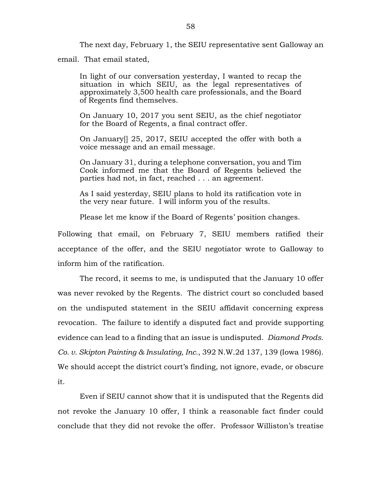The next day, February 1, the SEIU representative sent Galloway an email. That email stated,

In light of our conversation yesterday, I wanted to recap the situation in which SEIU, as the legal representatives of approximately 3,500 health care professionals, and the Board of Regents find themselves.

On January 10, 2017 you sent SEIU, as the chief negotiator for the Board of Regents, a final contract offer.

On January[] 25, 2017, SEIU accepted the offer with both a voice message and an email message.

On January 31, during a telephone conversation, you and Tim Cook informed me that the Board of Regents believed the parties had not, in fact, reached . . . an agreement.

As I said yesterday, SEIU plans to hold its ratification vote in the very near future. I will inform you of the results.

Please let me know if the Board of Regents' position changes.

Following that email, on February 7, SEIU members ratified their acceptance of the offer, and the SEIU negotiator wrote to Galloway to inform him of the ratification.

The record, it seems to me, is undisputed that the January 10 offer was never revoked by the Regents. The district court so concluded based on the undisputed statement in the SEIU affidavit concerning express revocation. The failure to identify a disputed fact and provide supporting evidence can lead to a finding that an issue is undisputed. *Diamond Prods. Co. v. Skipton Painting & Insulating, Inc.*, 392 N.W.2d 137, 139 (Iowa 1986). We should accept the district court's finding, not ignore, evade, or obscure it.

Even if SEIU cannot show that it is undisputed that the Regents did not revoke the January 10 offer, I think a reasonable fact finder could conclude that they did not revoke the offer. Professor Williston's treatise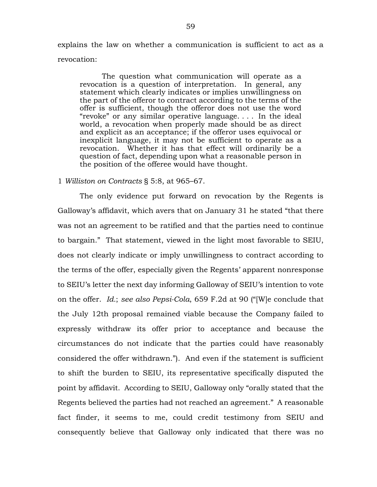explains the law on whether a communication is sufficient to act as a revocation:

The question what communication will operate as a revocation is a question of interpretation. In general, any statement which clearly indicates or implies unwillingness on the part of the offeror to contract according to the terms of the offer is sufficient, though the offeror does not use the word "revoke" or any similar operative language. . . . In the ideal world, a revocation when properly made should be as direct and explicit as an acceptance; if the offeror uses equivocal or inexplicit language, it may not be sufficient to operate as a revocation. Whether it has that effect will ordinarily be a question of fact, depending upon what a reasonable person in the position of the offeree would have thought.

#### 1 *Williston on Contracts* § 5:8, at 965–67.

The only evidence put forward on revocation by the Regents is Galloway's affidavit, which avers that on January 31 he stated "that there was not an agreement to be ratified and that the parties need to continue to bargain." That statement, viewed in the light most favorable to SEIU, does not clearly indicate or imply unwillingness to contract according to the terms of the offer, especially given the Regents' apparent nonresponse to SEIU's letter the next day informing Galloway of SEIU's intention to vote on the offer. *Id.*; *see also Pepsi-Cola*, 659 F.2d at 90 ("[W]e conclude that the July 12th proposal remained viable because the Company failed to expressly withdraw its offer prior to acceptance and because the circumstances do not indicate that the parties could have reasonably considered the offer withdrawn."). And even if the statement is sufficient to shift the burden to SEIU, its representative specifically disputed the point by affidavit. According to SEIU, Galloway only "orally stated that the Regents believed the parties had not reached an agreement." A reasonable fact finder, it seems to me, could credit testimony from SEIU and consequently believe that Galloway only indicated that there was no